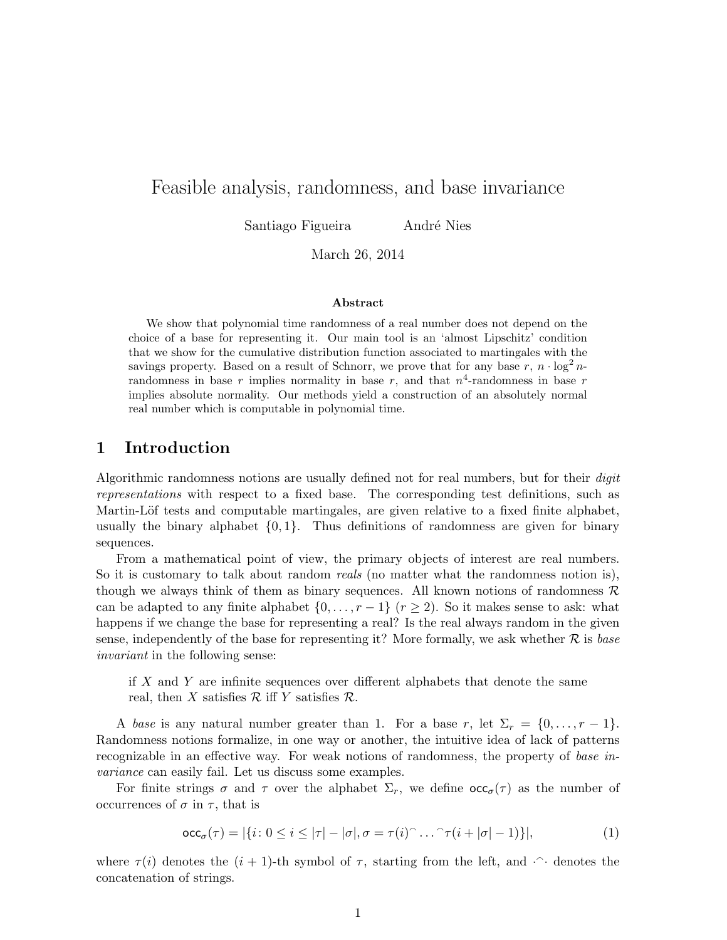# Feasible analysis, randomness, and base invariance

Santiago Figueira *André Nies* 

March 26, 2014

#### Abstract

We show that polynomial time randomness of a real number does not depend on the choice of a base for representing it. Our main tool is an 'almost Lipschitz' condition that we show for the cumulative distribution function associated to martingales with the savings property. Based on a result of Schnorr, we prove that for any base  $r, n \cdot \log^2 n$ randomness in base r implies normality in base r, and that  $n^4$ -randomness in base r implies absolute normality. Our methods yield a construction of an absolutely normal real number which is computable in polynomial time.

# 1 Introduction

Algorithmic randomness notions are usually defined not for real numbers, but for their *digit* representations with respect to a fixed base. The corresponding test definitions, such as Martin-Löf tests and computable martingales, are given relative to a fixed finite alphabet, usually the binary alphabet  $\{0, 1\}$ . Thus definitions of randomness are given for binary sequences.

From a mathematical point of view, the primary objects of interest are real numbers. So it is customary to talk about random *reals* (no matter what the randomness notion is), though we always think of them as binary sequences. All known notions of randomness  $\mathcal{R}$ can be adapted to any finite alphabet  $\{0, \ldots, r-1\}$   $(r \geq 2)$ . So it makes sense to ask: what happens if we change the base for representing a real? Is the real always random in the given sense, independently of the base for representing it? More formally, we ask whether  $R$  is base invariant in the following sense:

if X and Y are infinite sequences over different alphabets that denote the same real, then X satisfies  $\mathcal R$  iff Y satisfies  $\mathcal R$ .

A base is any natural number greater than 1. For a base r, let  $\Sigma_r = \{0, \ldots, r-1\}$ . Randomness notions formalize, in one way or another, the intuitive idea of lack of patterns recognizable in an effective way. For weak notions of randomness, the property of base invariance can easily fail. Let us discuss some examples.

For finite strings  $\sigma$  and  $\tau$  over the alphabet  $\Sigma_r$ , we define  $\operatorname{occ}_{\sigma}(\tau)$  as the number of occurrences of  $\sigma$  in  $\tau$ , that is

<span id="page-0-0"></span>
$$
\mathrm{occ}_{\sigma}(\tau) = |\{i \colon 0 \le i \le |\tau| - |\sigma|, \sigma = \tau(i)^\frown \dots^\frown \tau(i + |\sigma| - 1)\}|,\tag{1}
$$

where  $\tau(i)$  denotes the  $(i + 1)$ -th symbol of  $\tau$ , starting from the left, and  $\cdots$  denotes the concatenation of strings.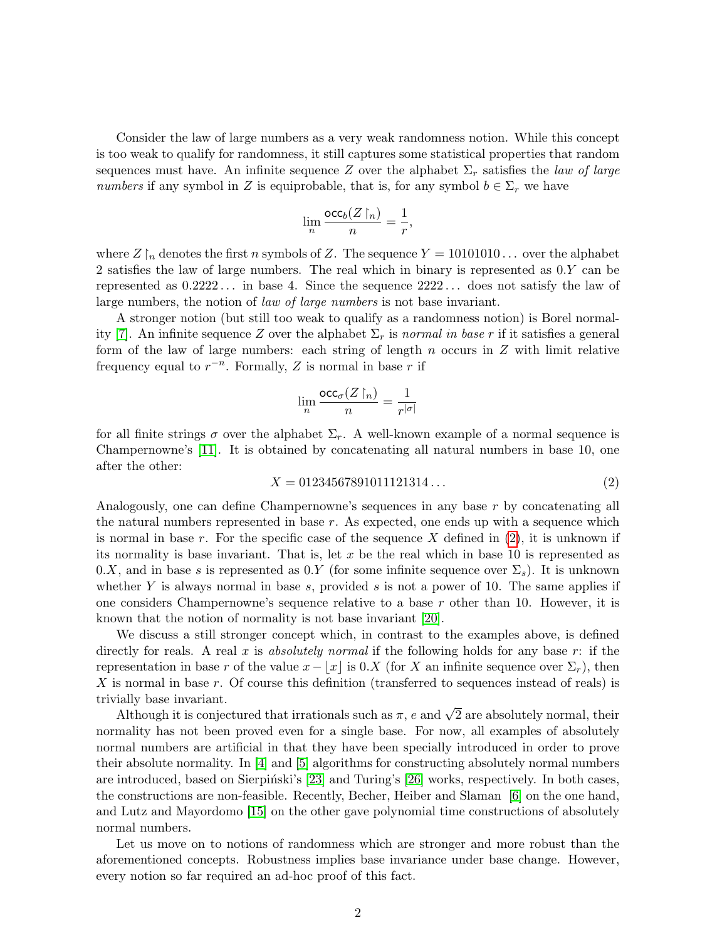Consider the law of large numbers as a very weak randomness notion. While this concept is too weak to qualify for randomness, it still captures some statistical properties that random sequences must have. An infinite sequence Z over the alphabet  $\Sigma_r$  satisfies the law of large numbers if any symbol in Z is equiprobable, that is, for any symbol  $b \in \Sigma_r$  we have

$$
\lim_n \frac{\mathrm{occ}_b(Z\!\upharpoonright_n)}{n} = \frac{1}{r},
$$

where  $Z \upharpoonright_n$  denotes the first n symbols of Z. The sequence  $Y = 10101010...$  over the alphabet 2 satisfies the law of large numbers. The real which in binary is represented as 0.Y can be represented as  $0.2222...$  in base 4. Since the sequence  $2222...$  does not satisfy the law of large numbers, the notion of law of large numbers is not base invariant.

A stronger notion (but still too weak to qualify as a randomness notion) is Borel normal-ity [\[7\]](#page-21-0). An infinite sequence Z over the alphabet  $\Sigma_r$  is normal in base r if it satisfies a general form of the law of large numbers: each string of length  $n$  occurs in  $Z$  with limit relative frequency equal to  $r^{-n}$ . Formally, Z is normal in base r if

$$
\lim_n \frac{\mathrm{occ}_\sigma(Z\!\upharpoonright_n)}{n} = \frac{1}{r^{|\sigma|}}
$$

for all finite strings  $\sigma$  over the alphabet  $\Sigma_r$ . A well-known example of a normal sequence is Champernowne's [\[11\]](#page-22-0). It is obtained by concatenating all natural numbers in base 10, one after the other:

<span id="page-1-0"></span>
$$
X = 01234567891011121314\ldots\tag{2}
$$

Analogously, one can define Champernowne's sequences in any base r by concatenating all the natural numbers represented in base  $r$ . As expected, one ends up with a sequence which is normal in base r. For the specific case of the sequence X defined in  $(2)$ , it is unknown if its normality is base invariant. That is, let  $x$  be the real which in base 10 is represented as 0.X, and in base s is represented as 0.Y (for some infinite sequence over  $\Sigma_s$ ). It is unknown whether Y is always normal in base s, provided s is not a power of 10. The same applies if one considers Champernowne's sequence relative to a base  $r$  other than 10. However, it is known that the notion of normality is not base invariant [\[20\]](#page-22-1).

We discuss a still stronger concept which, in contrast to the examples above, is defined directly for reals. A real x is absolutely normal if the following holds for any base r: if the representation in base r of the value  $x - |x|$  is 0.X (for X an infinite sequence over  $\Sigma_r$ ), then X is normal in base r. Of course this definition (transferred to sequences instead of reals) is trivially base invariant.

rany base mvariant.<br>Although it is conjectured that irrationals such as  $\pi,$   $e$  and  $\sqrt{2}$  are absolutely normal, their normality has not been proved even for a single base. For now, all examples of absolutely normal numbers are artificial in that they have been specially introduced in order to prove their absolute normality. In [\[4\]](#page-21-1) and [\[5\]](#page-21-2) algorithms for constructing absolutely normal numbers are introduced, based on Sierpiński's [\[23\]](#page-22-2) and Turing's [\[26\]](#page-23-0) works, respectively. In both cases, the constructions are non-feasible. Recently, Becher, Heiber and Slaman [\[6\]](#page-21-3) on the one hand, and Lutz and Mayordomo [\[15\]](#page-22-3) on the other gave polynomial time constructions of absolutely normal numbers.

Let us move on to notions of randomness which are stronger and more robust than the aforementioned concepts. Robustness implies base invariance under base change. However, every notion so far required an ad-hoc proof of this fact.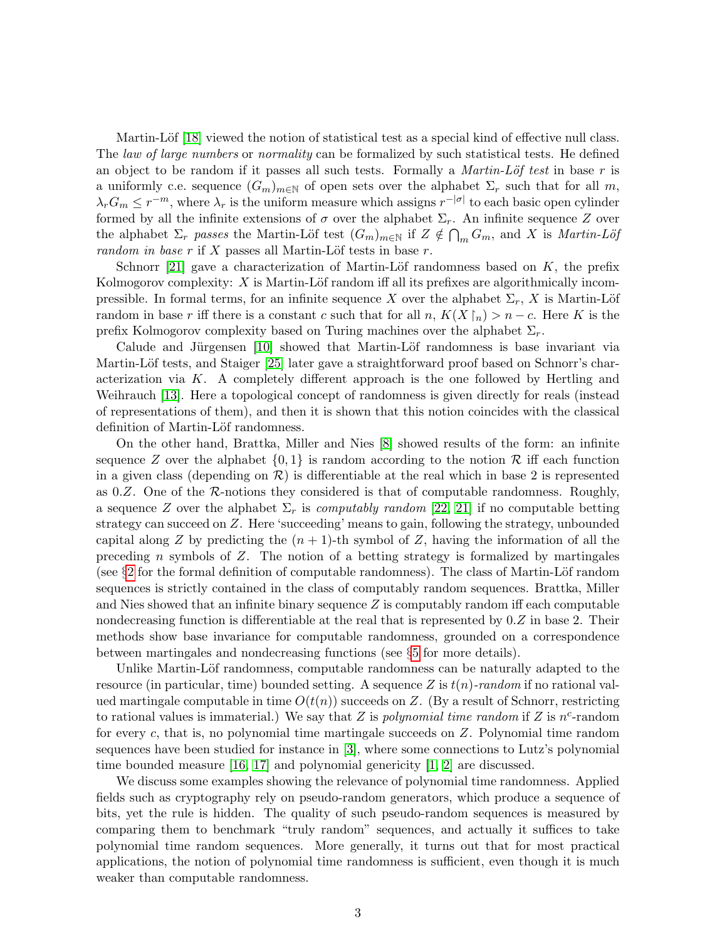Martin-Löf [\[18\]](#page-22-4) viewed the notion of statistical test as a special kind of effective null class. The *law of large numbers* or *normality* can be formalized by such statistical tests. He defined an object to be random if it passes all such tests. Formally a *Martin-Löf test* in base r is a uniformly c.e. sequence  $(G_m)_{m\in\mathbb{N}}$  of open sets over the alphabet  $\Sigma_r$  such that for all m,  $\lambda_r G_m \leq r^{-m}$ , where  $\lambda_r$  is the uniform measure which assigns  $r^{-|\sigma|}$  to each basic open cylinder formed by all the infinite extensions of  $\sigma$  over the alphabet  $\Sigma_r$ . An infinite sequence Z over the alphabet  $\Sigma_r$  passes the Martin-Löf test  $(G_m)_{m\in\mathbb{N}}$  if  $Z \notin \bigcap_m G_m$ , and X is Martin-Löf random in base r if X passes all Martin-Löf tests in base r.

Schnorr [\[21\]](#page-22-5) gave a characterization of Martin-Löf randomness based on  $K$ , the prefix Kolmogorov complexity:  $X$  is Martin-Löf random iff all its prefixes are algorithmically incompressible. In formal terms, for an infinite sequence X over the alphabet  $\Sigma_r$ , X is Martin-Löf random in base r iff there is a constant c such that for all  $n, K(X \nvert_n) > n - c$ . Here K is the prefix Kolmogorov complexity based on Turing machines over the alphabet  $\Sigma_r$ .

Calude and Jürgensen  $\vert 10 \vert$  showed that Martin-Löf randomness is base invariant via Martin-Löf tests, and Staiger [\[25\]](#page-23-1) later gave a straightforward proof based on Schnorr's characterization via  $K$ . A completely different approach is the one followed by Hertling and Weihrauch [\[13\]](#page-22-7). Here a topological concept of randomness is given directly for reals (instead of representations of them), and then it is shown that this notion coincides with the classical definition of Martin-Löf randomness.

On the other hand, Brattka, Miller and Nies [\[8\]](#page-22-8) showed results of the form: an infinite sequence Z over the alphabet  $\{0, 1\}$  is random according to the notion R iff each function in a given class (depending on  $\mathcal{R}$ ) is differentiable at the real which in base 2 is represented as  $0.Z$ . One of the R-notions they considered is that of computable randomness. Roughly, a sequence Z over the alphabet  $\Sigma_r$  is *computably random* [\[22,](#page-22-9) [21\]](#page-22-5) if no computable betting strategy can succeed on Z. Here 'succeeding' means to gain, following the strategy, unbounded capital along Z by predicting the  $(n + 1)$ -th symbol of Z, having the information of all the preceding n symbols of  $Z$ . The notion of a betting strategy is formalized by martingales (see  $\S2$  $\S2$  for the formal definition of computable randomness). The class of Martin-Löf random sequences is strictly contained in the class of computably random sequences. Brattka, Miller and Nies showed that an infinite binary sequence  $Z$  is computably random iff each computable nondecreasing function is differentiable at the real that is represented by  $0.Z$  in base 2. Their methods show base invariance for computable randomness, grounded on a correspondence between martingales and nondecreasing functions (see §[5](#page-9-0) for more details).

Unlike Martin-Löf randomness, computable randomness can be naturally adapted to the resource (in particular, time) bounded setting. A sequence Z is  $t(n)$ -random if no rational valued martingale computable in time  $O(t(n))$  succeeds on Z. (By a result of Schnorr, restricting to rational values is immaterial.) We say that Z is *polynomial time random* if Z is  $n^c$ -random for every  $c$ , that is, no polynomial time martingale succeeds on  $Z$ . Polynomial time random sequences have been studied for instance in [\[3\]](#page-21-4), where some connections to Lutz's polynomial time bounded measure  $[16, 17]$  $[16, 17]$  and polynomial genericity  $[1, 2]$  $[1, 2]$  are discussed.

We discuss some examples showing the relevance of polynomial time randomness. Applied fields such as cryptography rely on pseudo-random generators, which produce a sequence of bits, yet the rule is hidden. The quality of such pseudo-random sequences is measured by comparing them to benchmark "truly random" sequences, and actually it suffices to take polynomial time random sequences. More generally, it turns out that for most practical applications, the notion of polynomial time randomness is sufficient, even though it is much weaker than computable randomness.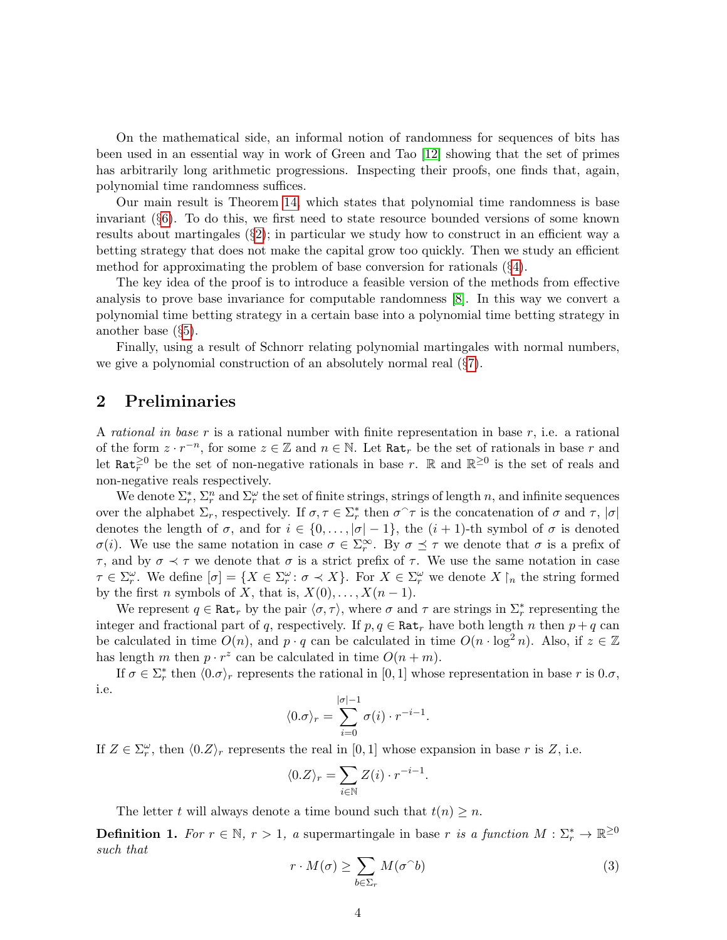On the mathematical side, an informal notion of randomness for sequences of bits has been used in an essential way in work of Green and Tao [\[12\]](#page-22-12) showing that the set of primes has arbitrarily long arithmetic progressions. Inspecting their proofs, one finds that, again, polynomial time randomness suffices.

Our main result is Theorem [14,](#page-11-0) which states that polynomial time randomness is base invariant (§[6\)](#page-11-1). To do this, we first need to state resource bounded versions of some known results about martingales  $(\S2)$  $(\S2)$ ; in particular we study how to construct in an efficient way a betting strategy that does not make the capital grow too quickly. Then we study an efficient method for approximating the problem of base conversion for rationals (§[4\)](#page-7-0).

The key idea of the proof is to introduce a feasible version of the methods from effective analysis to prove base invariance for computable randomness [\[8\]](#page-22-8). In this way we convert a polynomial time betting strategy in a certain base into a polynomial time betting strategy in another base (§[5\)](#page-9-0).

Finally, using a result of Schnorr relating polynomial martingales with normal numbers, we give a polynomial construction of an absolutely normal real (§[7\)](#page-14-0).

# <span id="page-3-0"></span>2 Preliminaries

A rational in base r is a rational number with finite representation in base r, i.e. a rational of the form  $z \cdot r^{-n}$ , for some  $z \in \mathbb{Z}$  and  $n \in \mathbb{N}$ . Let  $\texttt{Rat}_r$  be the set of rationals in base r and let Rat<sup> $\geq 0$ </sup> be the set of non-negative rationals in base r. R and  $\mathbb{R}^{\geq 0}$  is the set of reals and non-negative reals respectively.

We denote  $\Sigma_r^*, \Sigma_r^n$  and  $\Sigma_r^\omega$  the set of finite strings, strings of length n, and infinite sequences over the alphabet  $\Sigma_r$ , respectively. If  $\sigma, \tau \in \Sigma_r^*$  then  $\sigma^{\frown}\tau$  is the concatenation of  $\sigma$  and  $\tau$ ,  $|\sigma|$ denotes the length of  $\sigma$ , and for  $i \in \{0, \ldots, |\sigma| - 1\}$ , the  $(i + 1)$ -th symbol of  $\sigma$  is denoted  $σ(i)$ . We use the same notation in case  $σ ∈ Σ<sub>r</sub><sup>∞</sup>$ . By  $σ ≤ τ$  we denote that  $σ$  is a prefix of  $τ$ , and by  $σ$   $\prec$  τ we denote that  $σ$  is a strict prefix of τ. We use the same notation in case  $\tau \in \Sigma_r^{\omega}$ . We define  $[\sigma] = \{X \in \Sigma_r^{\omega} : \sigma \prec X\}$ . For  $X \in \Sigma_r^{\omega}$  we denote  $X \upharpoonright_n$  the string formed by the first *n* symbols of *X*, that is,  $X(0), \ldots, X(n-1)$ .

We represent  $q \in \text{Rat}_r$  by the pair  $\langle \sigma, \tau \rangle$ , where  $\sigma$  and  $\tau$  are strings in  $\Sigma_r^*$  representing the integer and fractional part of q, respectively. If  $p, q \in \text{Rat}_r$  have both length n then  $p + q$  can be calculated in time  $O(n)$ , and  $p \cdot q$  can be calculated in time  $O(n \cdot \log^2 n)$ . Also, if  $z \in \mathbb{Z}$ has length m then  $p \cdot r^z$  can be calculated in time  $O(n+m)$ .

If  $\sigma \in \Sigma_r^*$  then  $\langle 0.\sigma \rangle_r$  represents the rational in [0, 1] whose representation in base r is  $0.\sigma$ , i.e.

$$
\langle 0.\sigma \rangle_r = \sum_{i=0}^{|\sigma|-1} \sigma(i) \cdot r^{-i-1}.
$$

If  $Z \in \Sigma_r^{\omega}$ , then  $\langle 0.Z \rangle_r$  represents the real in  $[0,1]$  whose expansion in base r is Z, i.e.

$$
\langle 0.Z \rangle_r = \sum_{i \in \mathbb{N}} Z(i) \cdot r^{-i-1}
$$

The letter t will always denote a time bound such that  $t(n) \geq n$ .

**Definition 1.** For  $r \in \mathbb{N}$ ,  $r > 1$ , a supermartingale in base r is a function  $M : \Sigma_r^* \to \mathbb{R}^{\geq 0}$ such that

<span id="page-3-1"></span>
$$
r \cdot M(\sigma) \ge \sum_{b \in \Sigma_r} M(\sigma^b)
$$
 (3)

.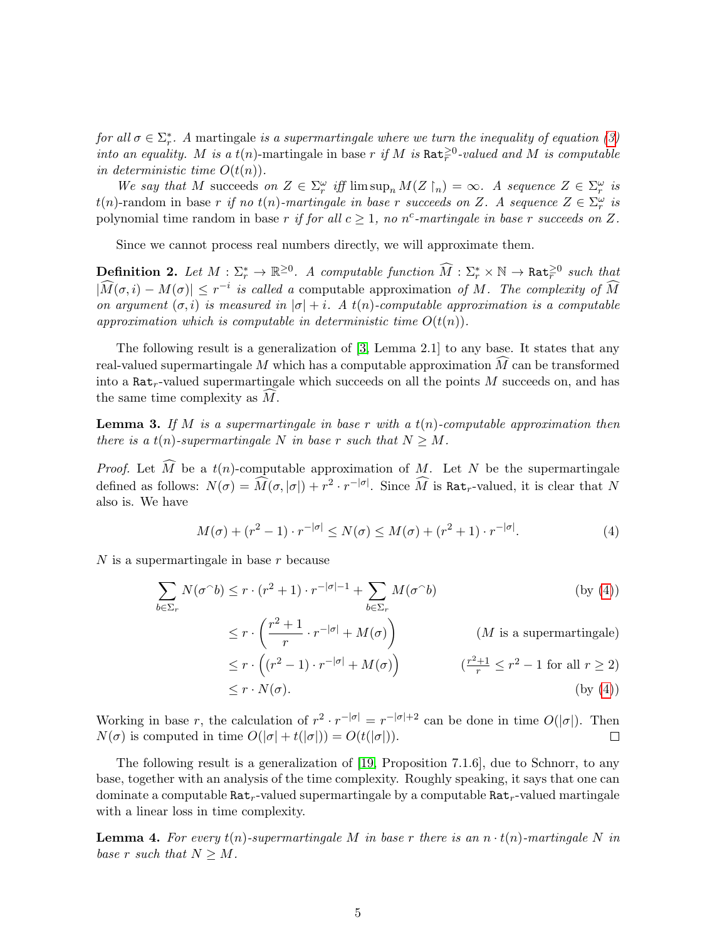for all  $\sigma \in \sum_{r}^*$ . A martingale is a supermartingale where we turn the inequality of equation [\(3\)](#page-3-1) into an equality. M is a  $t(n)$ -martingale in base r if M is Rat<sup> $\geq 0$ </sup>-valued and M is computable in deterministic time  $O(t(n))$ .

We say that M succeeds on  $Z \in \Sigma_r^{\omega}$  iff  $\limsup_n M(Z \upharpoonright_n) = \infty$ . A sequence  $Z \in \Sigma_r^{\omega}$  is  $t(n)$ -random in base r if no  $t(n)$ -martingale in base r succeeds on Z. A sequence  $Z \in \Sigma_r^{\omega}$  is polynomial time random in base r if for all  $c \geq 1$ , no n<sup>c</sup>-martingale in base r succeeds on Z.

Since we cannot process real numbers directly, we will approximate them.

**Definition 2.** Let  $M : \Sigma_r^* \to \mathbb{R}^{\geq 0}$ . A computable function  $\widehat{M} : \Sigma_r^* \times \mathbb{N} \to \text{Rat}_r^{\geq 0}$  such that  $|\widehat{M}(\sigma, i) - M(\sigma)| \leq r^{-i}$  is called a computable approximation of M. The complexity of  $\widehat{M}$ on argument  $(\sigma, i)$  is measured in  $|\sigma| + i$ . A  $t(n)$ -computable approximation is a computable approximation which is computable in deterministic time  $O(t(n))$ .

The following result is a generalization of [\[3,](#page-21-4) Lemma 2.1] to any base. It states that any real-valued supermartingale M which has a computable approximation  $\widetilde{M}$  can be transformed into a  $\texttt{Rat}_r$ -valued supermartingale which succeeds on all the points M succeeds on, and has the same time complexity as  $\overline{M}$ .

<span id="page-4-1"></span>**Lemma 3.** If M is a supermartingale in base r with a  $t(n)$ -computable approximation then there is a  $t(n)$ -supermartingale N in base r such that  $N \geq M$ .

*Proof.* Let  $\widehat{M}$  be a  $t(n)$ -computable approximation of M. Let N be the supermartingale defined as follows:  $N(\sigma) = \widehat{M}(\sigma, |\sigma|) + r^2 \cdot r^{-|\sigma|}$ . Since  $\widehat{M}$  is Rat<sub>r</sub>-valued, it is clear that N also is. We have

<span id="page-4-0"></span>
$$
M(\sigma) + (r^2 - 1) \cdot r^{-|\sigma|} \le N(\sigma) \le M(\sigma) + (r^2 + 1) \cdot r^{-|\sigma|}.
$$
 (4)

 $N$  is a supermartingale in base  $r$  because

$$
\sum_{b \in \Sigma_r} N(\sigma \cap b) \le r \cdot (r^2 + 1) \cdot r^{-|\sigma| - 1} + \sum_{b \in \Sigma_r} M(\sigma \cap b)
$$
 (by (4))  

$$
\le r \cdot \binom{r^2 + 1}{r - |\sigma|} + M(\sigma)
$$
 (by (4))

$$
\leq r \cdot \left(\frac{r+1}{r} \cdot r^{-|\sigma|} + M(\sigma)\right) \qquad (M \text{ is a supermartingale})
$$
  

$$
\leq r \cdot \left((r^2 - 1) \cdot r^{-|\sigma|} + M(\sigma)\right) \qquad \left(\frac{r^2 + 1}{r} \leq r^2 - 1 \text{ for all } r \geq 2\right)
$$

$$
\leq r \cdot N(\sigma). \tag{by (4)}
$$

Working in base r, the calculation of  $r^2 \cdot r^{-|\sigma|} = r^{-|\sigma|+2}$  can be done in time  $O(|\sigma|)$ . Then  $N(\sigma)$  is computed in time  $O(|\sigma| + t(|\sigma|)) = O(t(|\sigma|)).$  $\Box$ 

The following result is a generalization of [\[19,](#page-22-13) Proposition 7.1.6], due to Schnorr, to any base, together with an analysis of the time complexity. Roughly speaking, it says that one can dominate a computable  $\texttt{Rat}_r$ -valued supermartingale by a computable  $\texttt{Rat}_r$ -valued martingale with a linear loss in time complexity.

<span id="page-4-2"></span>**Lemma 4.** For every  $t(n)$ -supermartingale M in base r there is an  $n \cdot t(n)$ -martingale N in base r such that  $N \geq M$ .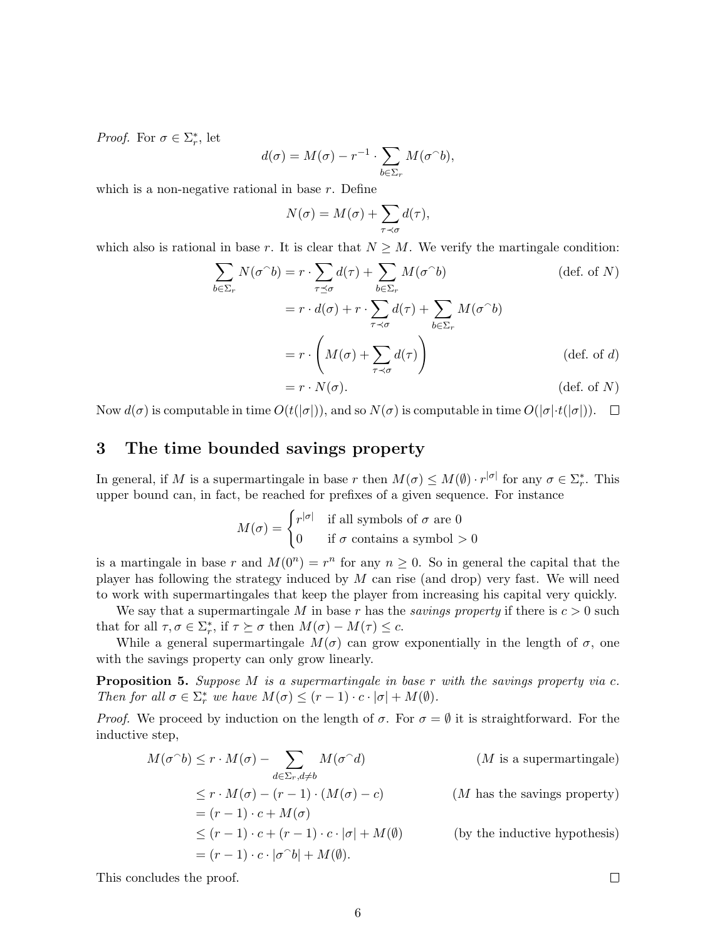*Proof.* For  $\sigma \in \Sigma_r^*$ , let

$$
d(\sigma) = M(\sigma) - r^{-1} \cdot \sum_{b \in \Sigma_r} M(\sigma \cap b),
$$

which is a non-negative rational in base  $r$ . Define

$$
N(\sigma) = M(\sigma) + \sum_{\tau \prec \sigma} d(\tau),
$$

which also is rational in base r. It is clear that  $N \geq M$ . We verify the martingale condition:

$$
\sum_{b \in \Sigma_r} N(\sigma^{\cap} b) = r \cdot \sum_{\tau \preceq \sigma} d(\tau) + \sum_{b \in \Sigma_r} M(\sigma^{\cap} b)
$$
 (def. of *N*)  

$$
= r \cdot d(\sigma) + r \cdot \sum_{\tau \prec \sigma} d(\tau) + \sum_{b \in \Sigma_r} M(\sigma^{\cap} b)
$$
  

$$
= r \cdot \left( M(\sigma) + \sum_{\tau \prec \sigma} d(\tau) \right)
$$
 (def. of *d*)  

$$
= r \cdot N(\sigma).
$$
 (def. of *N*)

Now  $d(\sigma)$  is computable in time  $O(t(|\sigma|))$ , and so  $N(\sigma)$  is computable in time  $O(|\sigma| \cdot t(|\sigma|))$ .  $\Box$ 

# 3 The time bounded savings property

In general, if M is a supermartingale in base r then  $M(\sigma) \leq M(\emptyset) \cdot r^{|\sigma|}$  for any  $\sigma \in \Sigma_r^*$ . This upper bound can, in fact, be reached for prefixes of a given sequence. For instance

$$
M(\sigma) = \begin{cases} r^{|\sigma|} & \text{if all symbols of } \sigma \text{ are } 0\\ 0 & \text{if } \sigma \text{ contains a symbol } > 0 \end{cases}
$$

is a martingale in base r and  $M(0^n) = r^n$  for any  $n \ge 0$ . So in general the capital that the player has following the strategy induced by  $M$  can rise (and drop) very fast. We will need to work with supermartingales that keep the player from increasing his capital very quickly.

We say that a supermartingale M in base r has the *savings property* if there is  $c > 0$  such that for all  $\tau, \sigma \in \Sigma_r^*$ , if  $\tau \succeq \sigma$  then  $M(\sigma) - M(\tau) \leq c$ .

While a general supermartingale  $M(\sigma)$  can grow exponentially in the length of  $\sigma$ , one with the savings property can only grow linearly.

<span id="page-5-0"></span>**Proposition 5.** Suppose M is a supermartingale in base  $r$  with the savings property via  $c$ . Then for all  $\sigma \in \Sigma_r^*$  we have  $M(\sigma) \le (r-1) \cdot c \cdot |\sigma| + M(\emptyset)$ .

*Proof.* We proceed by induction on the length of  $\sigma$ . For  $\sigma = \emptyset$  it is straightforward. For the inductive step,

$$
M(\sigma^{\cap}b) \le r \cdot M(\sigma) - \sum_{d \in \Sigma_r, d \ne b} M(\sigma^{\cap}d)
$$
 (*M* is a supermartingale)  
\n
$$
\le r \cdot M(\sigma) - (r - 1) \cdot (M(\sigma) - c)
$$
 (*M* has the savings property)  
\n
$$
= (r - 1) \cdot c + (r - 1) \cdot c \cdot |\sigma| + M(\emptyset)
$$
 (*by the inductive hypothesis*)  
\n
$$
= (r - 1) \cdot c \cdot |\sigma^{\cap}b| + M(\emptyset).
$$

This concludes the proof.

 $\Box$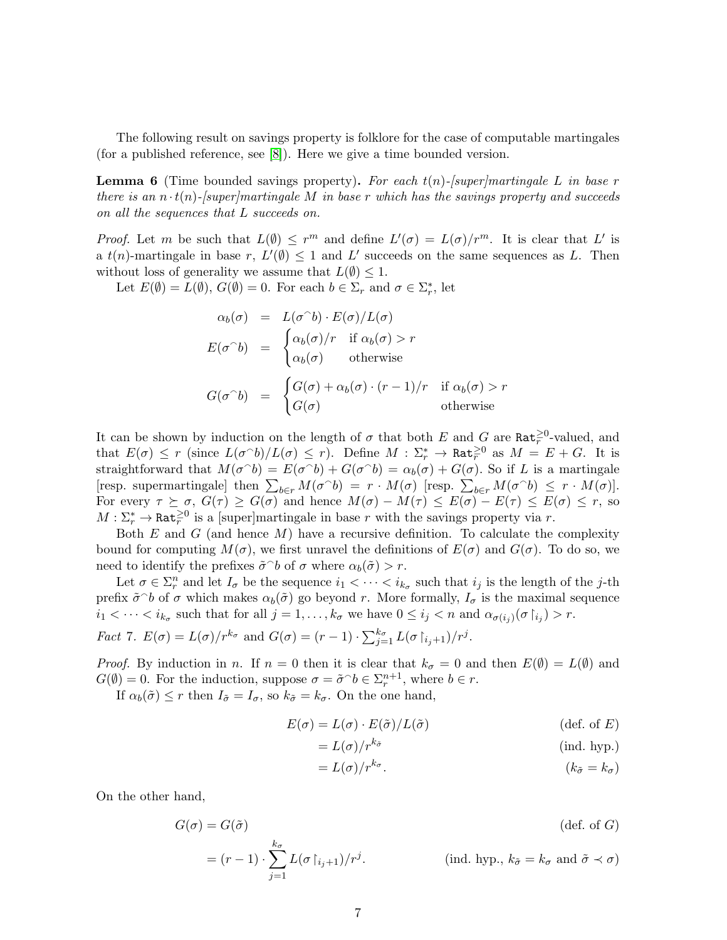The following result on savings property is folklore for the case of computable martingales (for a published reference, see [\[8\]](#page-22-8)). Here we give a time bounded version.

<span id="page-6-1"></span>**Lemma 6** (Time bounded savings property). For each  $t(n)$ -[super]martingale L in base r there is an  $n \cdot t(n)$ -[super]martingale M in base r which has the savings property and succeeds on all the sequences that L succeeds on.

*Proof.* Let m be such that  $L(\emptyset) \leq r^m$  and define  $L'(\sigma) = L(\sigma)/r^m$ . It is clear that L' is a  $t(n)$ -martingale in base r,  $L'(\emptyset) \leq 1$  and  $L'$  succeeds on the same sequences as L. Then without loss of generality we assume that  $L(\emptyset) \leq 1$ .

Let  $E(\emptyset) = L(\emptyset)$ ,  $G(\emptyset) = 0$ . For each  $b \in \Sigma_r$  and  $\sigma \in \Sigma_r^*$ , let

$$
\alpha_b(\sigma) = L(\sigma^b) \cdot E(\sigma) / L(\sigma)
$$
  
\n
$$
E(\sigma^b) = \begin{cases} \alpha_b(\sigma) / r & \text{if } \alpha_b(\sigma) > r \\ \alpha_b(\sigma) & \text{otherwise} \end{cases}
$$
  
\n
$$
G(\sigma^b) = \begin{cases} G(\sigma) + \alpha_b(\sigma) \cdot (r - 1) / r & \text{if } \alpha_b(\sigma) > r \\ G(\sigma) & \text{otherwise} \end{cases}
$$

It can be shown by induction on the length of  $\sigma$  that both E and G are Rat<sup> $\geq 0$ </sup>-valued, and that  $E(\sigma) \leq r$  (since  $L(\sigma^{\frown}b)/L(\sigma) \leq r$ ). Define  $M : \Sigma_r^* \to \mathtt{Rat}_r^{\geq 0}$  as  $M = E + G$ . It is straightforward that  $M(\sigma^{\wedge} b) = E(\sigma^{\wedge} b) + G(\sigma^{\wedge} b) = \alpha_b(\sigma) + G(\sigma)$ . So if L is a martingale [resp. supermartingale] then  $\sum_{b \in r} M(\sigma \cap b) = r \cdot M(\sigma)$  [resp.  $\sum_{b \in r} M(\sigma \cap b) \leq r \cdot M(\sigma)$ ]. For every  $\tau \succeq \sigma$ ,  $G(\tau) \geq G(\sigma)$  and hence  $M(\sigma) - M(\tau) \leq E(\sigma) - E(\tau) \leq E(\sigma) \leq r$ , so  $M: \Sigma_r^* \to \text{Rat}_r^{\geq 0}$  is a [super]martingale in base r with the savings property via r.

Both  $E$  and  $G$  (and hence  $M$ ) have a recursive definition. To calculate the complexity bound for computing  $M(\sigma)$ , we first unravel the definitions of  $E(\sigma)$  and  $G(\sigma)$ . To do so, we need to identify the prefixes  $\tilde{\sigma}^{\frown} b$  of  $\sigma$  where  $\alpha_b(\tilde{\sigma}) > r$ .

Let  $\sigma \in \Sigma_r^n$  and let  $I_{\sigma}$  be the sequence  $i_1 < \cdots < i_{k_{\sigma}}$  such that  $i_j$  is the length of the j-th prefix  $\tilde{\sigma}$  of  $\sigma$  which makes  $\alpha_b(\tilde{\sigma})$  go beyond r. More formally,  $I_{\sigma}$  is the maximal sequence  $i_1 < \cdots < i_{k_{\sigma}}$  such that for all  $j = 1, \ldots, k_{\sigma}$  we have  $0 \leq i_j < n$  and  $\alpha_{\sigma(i_j)}(\sigma | i_j) > r$ .

<span id="page-6-0"></span>Fact 7. 
$$
E(\sigma) = L(\sigma)/r^{k_{\sigma}}
$$
 and  $G(\sigma) = (r-1) \cdot \sum_{j=1}^{k_{\sigma}} L(\sigma | i_{j+1})/r^{j}$ .

*Proof.* By induction in n. If  $n = 0$  then it is clear that  $k_{\sigma} = 0$  and then  $E(\emptyset) = L(\emptyset)$  and  $G(\emptyset) = 0$ . For the induction, suppose  $\sigma = \tilde{\sigma}^{\cap} b \in \Sigma^{n+1}_r$ , where  $b \in r$ .

If  $\alpha_b(\tilde{\sigma}) \leq r$  then  $I_{\tilde{\sigma}} = I_{\sigma}$ , so  $k_{\tilde{\sigma}} = k_{\sigma}$ . On the one hand,

$$
E(\sigma) = L(\sigma) \cdot E(\tilde{\sigma}) / L(\tilde{\sigma})
$$
 (def. of E)

$$
=L(\sigma)/r^{k_{\tilde{\sigma}}} \qquad \qquad (\text{ind. hyp.})
$$

$$
= L(\sigma)/r^{k_{\sigma}}.
$$
 (k\_{\tilde{\sigma}} = k\_{\sigma})

On the other hand,

$$
G(\sigma) = G(\tilde{\sigma})
$$
 (def. of G)  

$$
= (r - 1) \cdot \sum_{j=1}^{k_{\sigma}} L(\sigma |_{i_j+1})/r^j.
$$
 (ind. hyp.,  $k_{\tilde{\sigma}} = k_{\sigma}$  and  $\tilde{\sigma} \prec \sigma$ )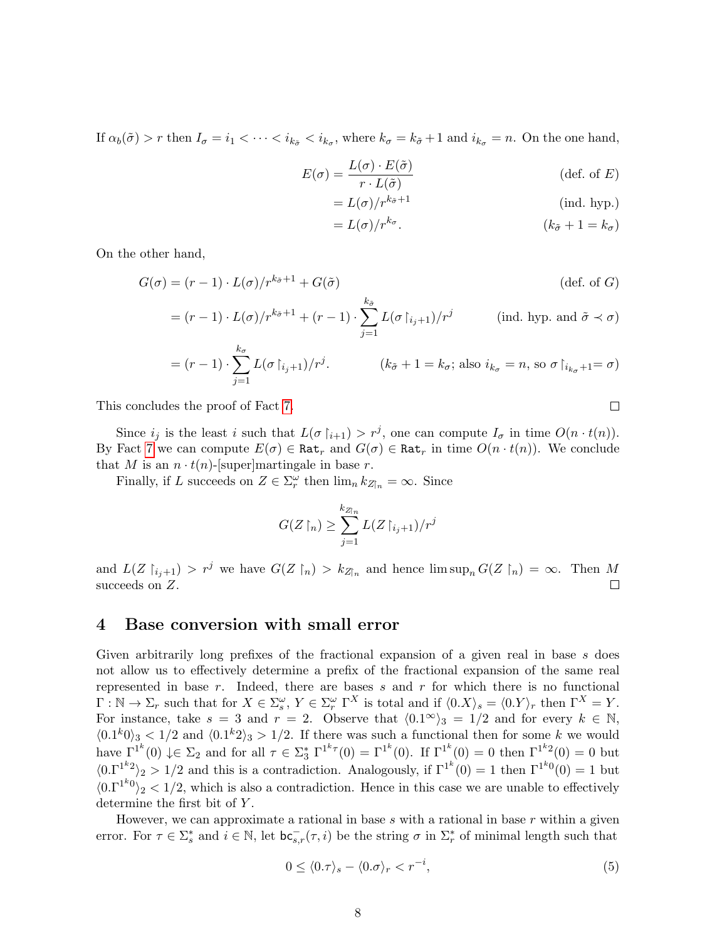If  $\alpha_b(\tilde{\sigma}) > r$  then  $I_{\sigma} = i_1 < \cdots < i_{k_{\tilde{\sigma}}} < i_{k_{\sigma}}$ , where  $k_{\sigma} = k_{\tilde{\sigma}} + 1$  and  $i_{k_{\sigma}} = n$ . On the one hand,

$$
E(\sigma) = \frac{L(\sigma) \cdot E(\tilde{\sigma})}{r \cdot L(\tilde{\sigma})}
$$
 (def. of *E*)

$$
= L(\sigma)/r^{k_{\tilde{\sigma}}+1} \tag{ind. hyp.}
$$

$$
= L(\sigma)/r^{k_{\sigma}}.
$$
 (k\_{\tilde{\sigma}} + 1 = k\_{\sigma})

On the other hand,

$$
G(\sigma) = (r - 1) \cdot L(\sigma) / r^{k_{\tilde{\sigma}} + 1} + G(\tilde{\sigma})
$$
 (def. of *G*)  
=  $(r - 1) \cdot L(\sigma) / r^{k_{\tilde{\sigma}} + 1} + (r - 1) \cdot \sum_{j=1}^{k_{\tilde{\sigma}}} L(\sigma | i_{j+1}) / r^j$  (ind. hyp. and  $\tilde{\sigma} \prec \sigma$ )

$$
= (r-1) \cdot \sum_{j=1}^{k_{\sigma}} L(\sigma |_{i_j+1})/r^j.
$$
  $(k_{\tilde{\sigma}} + 1 = k_{\sigma}; \text{ also } i_{k_{\sigma}} = n, \text{ so } \sigma |_{i_{k_{\sigma}}+1} = \sigma)$ 

This concludes the proof of Fact [7.](#page-6-0)

Since  $i_j$  is the least i such that  $L(\sigma | i_{j+1}) > r^j$ , one can compute  $I_{\sigma}$  in time  $O(n \cdot t(n))$ . By Fact [7](#page-6-0) we can compute  $E(\sigma) \in \text{Rat}_r$  and  $G(\sigma) \in \text{Rat}_r$  in time  $O(n \cdot t(n))$ . We conclude that M is an  $n \cdot t(n)$ -[super]martingale in base r.

Finally, if L succeeds on  $Z \in \Sigma_r^{\omega}$  then  $\lim_n k_{Z\upharpoonright n} = \infty$ . Since

$$
G(Z\restriction_n)\geq \sum_{j=1}^{k_{Z\restriction_n}} L(Z\restriction_{i_j+1})/r^j
$$

and  $L(Z \upharpoonright_{i_j+1}) > r^j$  we have  $G(Z \upharpoonright_n) > k_{Z\upharpoonright_n}$  and hence  $\limsup_n G(Z \upharpoonright_n) = \infty$ . Then M succeeds on Z.  $\Box$ 

### <span id="page-7-0"></span>4 Base conversion with small error

Given arbitrarily long prefixes of the fractional expansion of a given real in base s does not allow us to effectively determine a prefix of the fractional expansion of the same real represented in base  $r$ . Indeed, there are bases  $s$  and  $r$  for which there is no functional  $\Gamma : \mathbb{N} \to \Sigma_r$  such that for  $X \in \Sigma_s^{\omega}$ ,  $Y \in \Sigma_r^{\omega}$   $\Gamma^X$  is total and if  $\langle 0.X \rangle_s = \langle 0.Y \rangle_r$  then  $\Gamma^X = Y$ . For instance, take  $s = 3$  and  $r = 2$ . Observe that  $\langle 0.1^\infty \rangle_3 = 1/2$  and for every  $k \in \mathbb{N}$ ,  $\langle 0.1^k 0 \rangle$   $\langle 1^k 2 \rangle$  and  $\langle 0.1^k 2 \rangle$  is  $\langle 1^k 2 \rangle$  is  $\langle 1^k 2 \rangle$  is the k if there was such a functional then for some k we would have  $\Gamma^{1^k}(0) \downarrow \in \Sigma_2$  and for all  $\tau \in \Sigma_3^* \Gamma^{1^k \tau}(0) = \Gamma^{1^k}(0)$ . If  $\Gamma^{1^k}(0) = 0$  then  $\Gamma^{1^k 2}(0) = 0$  but  $\langle 0.\Gamma^{1^k2}\rangle_2 > 1/2$  and this is a contradiction. Analogously, if  $\Gamma^{1^k}(0) = 1$  then  $\Gamma^{1^k0}(0) = 1$  but  $\langle 0.\Gamma^{1^k}0\rangle_2 < 1/2$ , which is also a contradiction. Hence in this case we are unable to effectively determine the first bit of Y.

However, we can approximate a rational in base  $s$  with a rational in base  $r$  within a given error. For  $\tau \in \Sigma_s^*$  and  $i \in \mathbb{N}$ , let  $\mathsf{bc}_{s,r}^-(\tau, i)$  be the string  $\sigma$  in  $\Sigma_r^*$  of minimal length such that

$$
0 \le \langle 0.\tau \rangle_s - \langle 0.\sigma \rangle_r < r^{-i},\tag{5}
$$

 $\Box$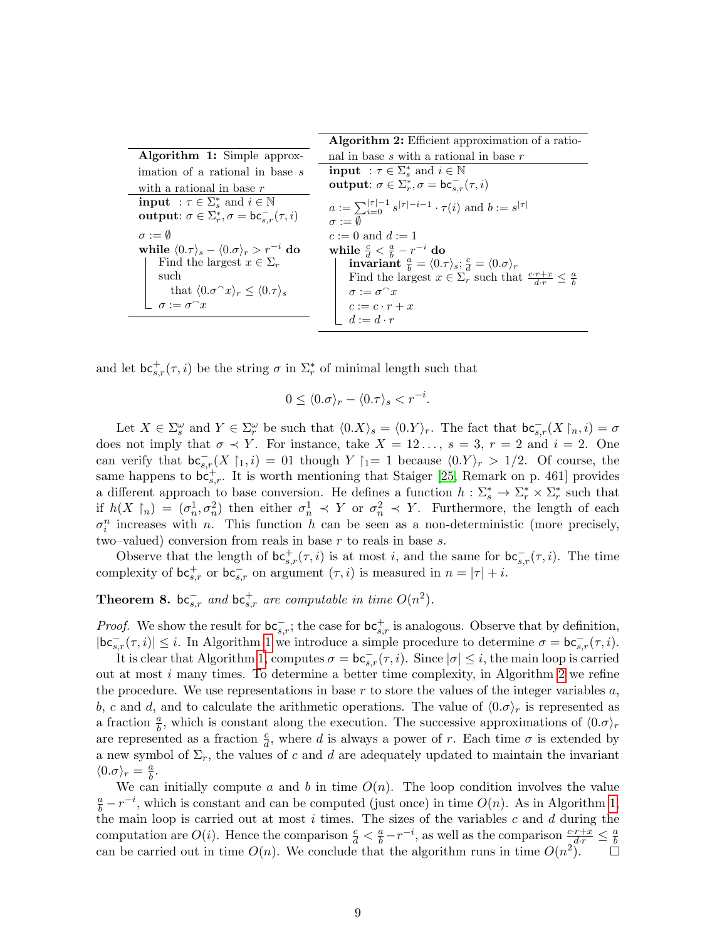<span id="page-8-1"></span><span id="page-8-0"></span>

|                                                                                                            | Algorithm 2: Efficient approximation of a ratio-                                                |
|------------------------------------------------------------------------------------------------------------|-------------------------------------------------------------------------------------------------|
| <b>Algorithm 1:</b> Simple approx-                                                                         | nal in base s with a rational in base $r$                                                       |
| imation of a rational in base s                                                                            | <b>input</b> : $\tau \in \Sigma_s^*$ and $i \in \mathbb{N}$                                     |
| with a rational in base $r$                                                                                | output: $\sigma \in \Sigma_r^*, \sigma = \mathsf{bc}_{s,r}^-(\tau, i)$                          |
| <b>input</b> : $\tau \in \Sigma_s^*$ and $i \in \mathbb{N}$                                                | $a := \sum_{i=0}^{ \tau -1} s^{ \tau -i-1} \cdot \tau(i)$ and $b := s^{ \tau }$                 |
| output: $\sigma \in \Sigma_r^*, \sigma = \mathsf{bc}_{s,r}^-(\tau, i)$                                     | $\sigma := \emptyset$                                                                           |
| $\sigma := \emptyset$                                                                                      | $c := 0$ and $d := 1$                                                                           |
| while $\langle 0.\tau \rangle_s - \langle 0.\sigma \rangle_r > r^{-i}$ do                                  | while $\frac{c}{d} < \frac{a}{b} - r^{-i}$ do                                                   |
| Find the largest $x \in \Sigma_r$                                                                          | invariant $\frac{a}{b} = \langle 0.\tau \rangle_s$ ; $\frac{c}{d} = \langle 0.\sigma \rangle_r$ |
| such                                                                                                       | Find the largest $x \in \Sigma_r$ such that $\frac{c \cdot r + x}{d \cdot r} \leq \frac{a}{b}$  |
| that $\langle 0.\sigma^{\frown} x \rangle_r \le \langle 0.\tau \rangle_s$<br>$\sigma := \sigma^{\frown} x$ | $\sigma := \sigma^{\frown} x$                                                                   |
|                                                                                                            | $c := c \cdot r + x$<br>$d := d \cdot r$                                                        |
|                                                                                                            |                                                                                                 |

and let  $\mathsf{bc}_{s,r}^+(\tau,i)$  be the string  $\sigma$  in  $\Sigma_r^*$  of minimal length such that

$$
0 \le \langle 0.\sigma \rangle_r - \langle 0.\tau \rangle_s < r^{-i}.
$$

Let  $X \in \Sigma_s^{\omega}$  and  $Y \in \Sigma_r^{\omega}$  be such that  $\langle 0. X \rangle_s = \langle 0. Y \rangle_r$ . The fact that  $\mathsf{bc}_{s,r}^-(X \upharpoonright_n, i) = \sigma$ does not imply that  $\sigma \prec Y$ . For instance, take  $X = 12 \ldots$ ,  $s = 3$ ,  $r = 2$  and  $i = 2$ . One can verify that  $\mathsf{bc}_{s,r}^-(X \upharpoonright_1, i) = 01$  though  $Y \upharpoonright_1 = 1$  because  $\langle 0.Y \rangle_r > 1/2$ . Of course, the same happens to  $\overline{\mathsf{bc}}_{s,r}^+$ . It is worth mentioning that Staiger [\[25,](#page-23-1) Remark on p. 461] provides a different approach to base conversion. He defines a function  $h: \Sigma_s^* \to \Sigma_r^* \times \Sigma_r^*$  such that if  $h(X \rvert_n) = (\sigma_n^1, \sigma_n^2)$  then either  $\sigma_n^1 \prec Y$  or  $\sigma_n^2 \prec Y$ . Furthermore, the length of each  $\sigma_i^n$  increases with *n*. This function *h* can be seen as a non-deterministic (more precisely, two–valued) conversion from reals in base  $r$  to reals in base  $s$ .

Observe that the length of  $bc^+_{s,r}(\tau, i)$  is at most i, and the same for  $bc^-_{s,r}(\tau, i)$ . The time complexity of  $\mathsf{bc}_{s,r}^+$  or  $\mathsf{bc}_{s,r}^-$  on argument  $(\tau, i)$  is measured in  $n = |\tau| + i$ .

<span id="page-8-2"></span>Theorem 8.  $bc_{s,r}^-$  and  $bc_{s,r}^+$  are computable in time  $O(n^2)$ .

*Proof.* We show the result for  $bc_{s,r}^-$ ; the case for  $bc_{s,r}^+$  is analogous. Observe that by definition,  $|\mathsf{bc}_{s,r}^-(\tau,i)| \leq i$ . In Algorithm [1](#page-8-0) we introduce a simple procedure to determine  $\sigma = \mathsf{bc}_{s,r}^-(\tau,i)$ .

It is clear that Algorithm [1,](#page-8-0) computes  $\sigma = \mathsf{bc}_{s,r}^-(\tau, i)$ . Since  $|\sigma| \leq i$ , the main loop is carried out at most  $i$  many times. To determine a better time complexity, in Algorithm [2](#page-8-1) we refine the procedure. We use representations in base r to store the values of the integer variables  $a$ , b, c and d, and to calculate the arithmetic operations. The value of  $\langle 0.\sigma \rangle_r$  is represented as a fraction  $\frac{a}{b}$ , which is constant along the execution. The successive approximations of  $\langle 0.\sigma \rangle_r$ are represented as a fraction  $\frac{c}{d}$ , where d is always a power of r. Each time  $\sigma$  is extended by a new symbol of  $\Sigma_r$ , the values of c and d are adequately updated to maintain the invariant  $\langle 0.\sigma \rangle_r = \frac{a}{b}$  $\frac{a}{b}$ .

We can initially compute a and b in time  $O(n)$ . The loop condition involves the value  $\frac{a}{b} - r^{-i}$ , which is constant and can be computed (just once) in time  $O(n)$ . As in Algorithm [1,](#page-8-0) the main loop is carried out at most  $i$  times. The sizes of the variables  $c$  and  $d$  during the computation are  $O(i)$ . Hence the comparison  $\frac{c}{d} < \frac{a}{b} - r^{-i}$ , as well as the comparison  $\frac{c \cdot r + x}{d \cdot r} \leq \frac{a}{b}$ b can be carried out in time  $O(n)$ . We conclude that the algorithm runs in time  $O(n^2)$ .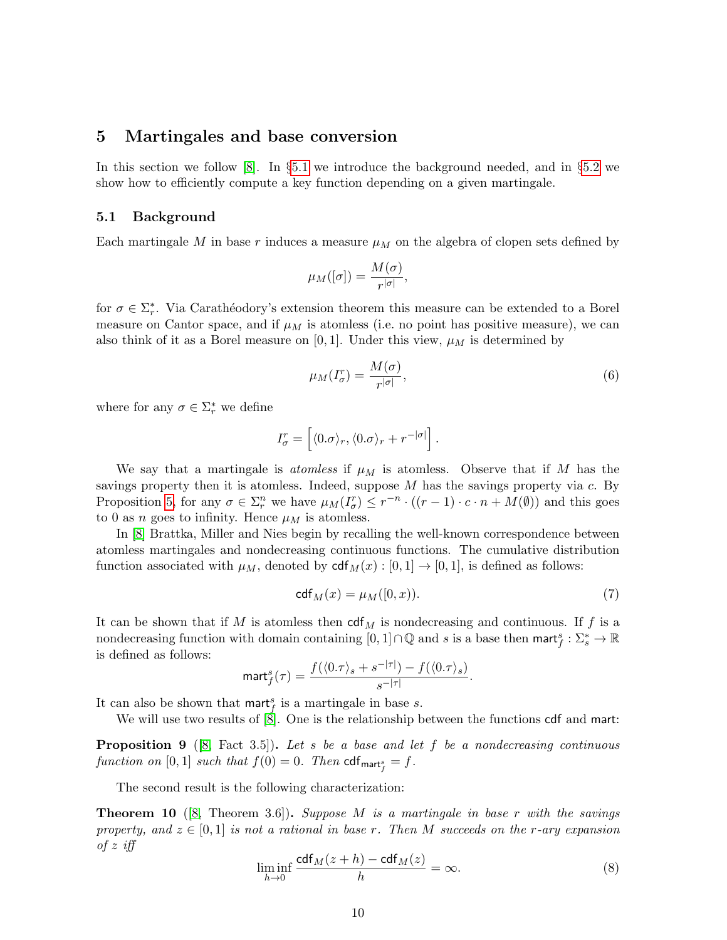# <span id="page-9-0"></span>5 Martingales and base conversion

In this section we follow [\[8\]](#page-22-8). In §[5.1](#page-9-1) we introduce the background needed, and in §[5.2](#page-10-0) we show how to efficiently compute a key function depending on a given martingale.

#### <span id="page-9-1"></span>5.1 Background

Each martingale M in base r induces a measure  $\mu_M$  on the algebra of clopen sets defined by

$$
\mu_M([\sigma]) = \frac{M(\sigma)}{r^{|\sigma|}},
$$

for  $\sigma \in \Sigma_r^*$ . Via Carathéodory's extension theorem this measure can be extended to a Borel measure on Cantor space, and if  $\mu_M$  is atomless (i.e. no point has positive measure), we can also think of it as a Borel measure on [0, 1]. Under this view,  $\mu_M$  is determined by

<span id="page-9-6"></span>
$$
\mu_M(I_{\sigma}^r) = \frac{M(\sigma)}{r^{|\sigma|}},\tag{6}
$$

where for any  $\sigma \in \Sigma_r^*$  we define

$$
I_{\sigma}^r = \left[ \langle 0.\sigma \rangle_r, \langle 0.\sigma \rangle_r + r^{-|\sigma|} \right].
$$

We say that a martingale is *atomless* if  $\mu_M$  is atomless. Observe that if M has the savings property then it is atomless. Indeed, suppose  $M$  has the savings property via  $c$ . By Proposition [5,](#page-5-0) for any  $\sigma \in \Sigma_r^n$  we have  $\mu_M(I_\sigma^r) \leq r^{-n} \cdot ((r-1) \cdot c \cdot n + M(\emptyset))$  and this goes to 0 as *n* goes to infinity. Hence  $\mu_M$  is atomless.

In [\[8\]](#page-22-8) Brattka, Miller and Nies begin by recalling the well-known correspondence between atomless martingales and nondecreasing continuous functions. The cumulative distribution function associated with  $\mu_M$ , denoted by  $\text{cdf}_M(x) : [0,1] \to [0,1]$ , is defined as follows:

<span id="page-9-5"></span>
$$
\operatorname{cdf}_M(x) = \mu_M([0, x)).\tag{7}
$$

It can be shown that if M is atomless then  $\text{cdf}_{M}$  is nondecreasing and continuous. If f is a nondecreasing function with domain containing  $[0,1] \cap \mathbb{Q}$  and s is a base then mart $f: \Sigma_s^* \to \mathbb{R}$ is defined as follows:

$$
\text{mart}_f^s(\tau) = \frac{f(\langle 0.\tau \rangle_s + s^{-|\tau|}) - f(\langle 0.\tau \rangle_s)}{s^{-|\tau|}}.
$$

It can also be shown that marts is a martingale in base s.

We will use two results of  $\left[\dot{8}\right]$ . One is the relationship between the functions  $\text{cdf}$  and mart:

<span id="page-9-4"></span>**Proposition 9** ([\[8,](#page-22-8) Fact 3.5]). Let s be a base and let f be a nondecreasing continuous function on  $[0,1]$  such that  $f(0)=0$ . Then  $\mathsf{cdf}_{\mathsf{mart}^s_f}=f.$ 

The second result is the following characterization:

<span id="page-9-2"></span>**Theorem 10** ([\[8,](#page-22-8) Theorem 3.6]). Suppose M is a martingale in base r with the savings property, and  $z \in [0,1]$  is not a rational in base r. Then M succeeds on the r-ary expansion of  $z$  iff

<span id="page-9-3"></span>
$$
\liminf_{h \to 0} \frac{\text{cdf}_M(z+h) - \text{cdf}_M(z)}{h} = \infty.
$$
 (8)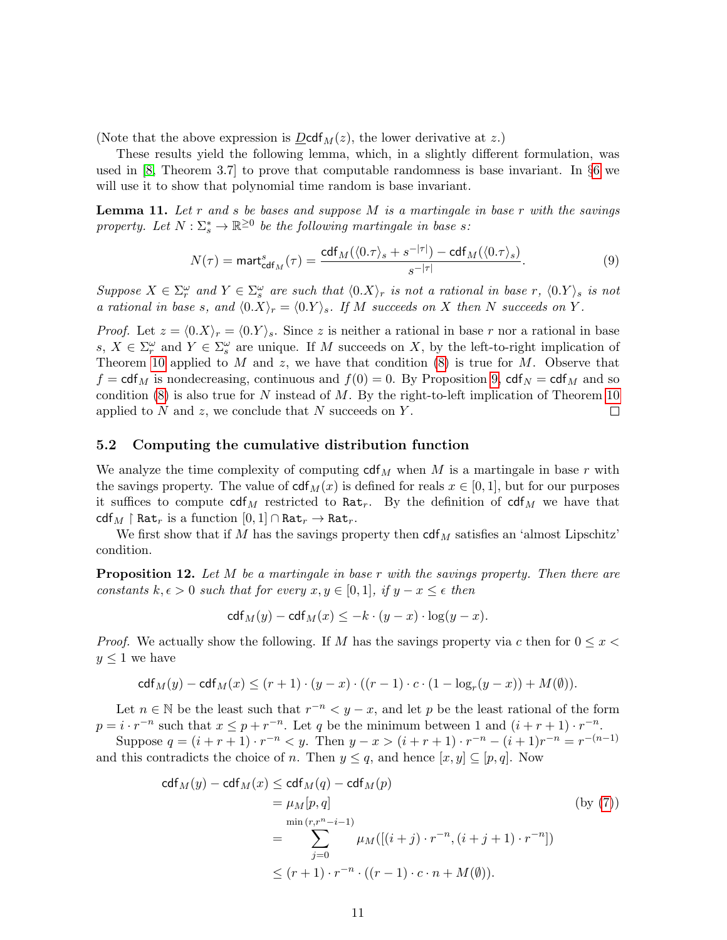(Note that the above expression is  $D \text{cdf}_M(z)$ , the lower derivative at z.)

These results yield the following lemma, which, in a slightly different formulation, was used in [\[8,](#page-22-8) Theorem 3.7] to prove that computable randomness is base invariant. In §[6](#page-11-1) we will use it to show that polynomial time random is base invariant.

<span id="page-10-2"></span>**Lemma 11.** Let r and s be bases and suppose  $M$  is a martingale in base r with the savings property. Let  $N : \Sigma_s^* \to \mathbb{R}^{\geq 0}$  be the following martingale in base s:

<span id="page-10-1"></span>
$$
N(\tau) = \text{mart}_{\text{cdf}_M}^s(\tau) = \frac{\text{cdf}_M(\langle 0.\tau \rangle_s + s^{-|\tau|}) - \text{cdf}_M(\langle 0.\tau \rangle_s)}{s^{-|\tau|}}.
$$
\n(9)

Suppose  $X \in \Sigma_r^{\omega}$  and  $Y \in \Sigma_s^{\omega}$  are such that  $\langle 0.X \rangle_r$  is not a rational in base r,  $\langle 0.Y \rangle_s$  is not a rational in base s, and  $\langle 0.X \rangle_r = \langle 0.Y \rangle_s$ . If M succeeds on X then N succeeds on Y.

*Proof.* Let  $z = \langle 0.X \rangle_r = \langle 0.Y \rangle_s$ . Since z is neither a rational in base r nor a rational in base s,  $X \in \Sigma_r^{\omega}$  and  $Y \in \Sigma_s^{\omega}$  are unique. If M succeeds on X, by the left-to-right implication of Theorem [10](#page-9-2) applied to M and z, we have that condition  $(8)$  is true for M. Observe that  $f = \text{cdf}_M$  is nondecreasing, continuous and  $f(0) = 0$ . By Proposition [9,](#page-9-4)  $\text{cdf}_N = \text{cdf}_M$  and so condition  $(8)$  is also true for N instead of M. By the right-to-left implication of Theorem [10](#page-9-2) applied to  $N$  and  $z$ , we conclude that  $N$  succeeds on  $Y$ .  $\Box$ 

#### <span id="page-10-0"></span>5.2 Computing the cumulative distribution function

We analyze the time complexity of computing  $\text{cdf}_{M}$  when M is a martingale in base r with the savings property. The value of  $\text{cdf}_{M}(x)$  is defined for reals  $x \in [0,1]$ , but for our purposes it suffices to compute  $\operatorname{cdf}_M$  restricted to Rat<sub>r</sub>. By the definition of  $\operatorname{cdf}_M$  we have that cdf<sub>M</sub>  $\restriction$  Rat<sub>r</sub> is a function  $[0, 1] \cap$  Rat<sub>r</sub>  $\to$  Rat<sub>r</sub>.

We first show that if M has the savings property then  $\text{cdf}_{M}$  satisfies an 'almost Lipschitz' condition.

<span id="page-10-3"></span>**Proposition 12.** Let  $M$  be a martingale in base  $r$  with the savings property. Then there are constants  $k, \epsilon > 0$  such that for every  $x, y \in [0, 1]$ , if  $y - x \leq \epsilon$  then

$$
\mathsf{cdf}_M(y) - \mathsf{cdf}_M(x) \leq -k \cdot (y-x) \cdot \log(y-x).
$$

*Proof.* We actually show the following. If M has the savings property via c then for  $0 \leq x <$  $y \leq 1$  we have

$$
\mathsf{cdf}_M(y) - \mathsf{cdf}_M(x) \le (r+1) \cdot (y-x) \cdot ((r-1) \cdot c \cdot (1-\log_r(y-x)) + M(\emptyset)).
$$

Let  $n \in \mathbb{N}$  be the least such that  $r^{-n} < y - x$ , and let p be the least rational of the form  $p = i \cdot r^{-n}$  such that  $x \leq p + r^{-n}$ . Let q be the minimum between 1 and  $(i + r + 1) \cdot r^{-n}$ . Suppose  $q = (i + r + 1) \cdot r^{-n} < y$ . Then  $y - x > (i + r + 1) \cdot r^{-n} - (i + 1)r^{-n} = r^{-(n-1)}$ 

and this contradicts the choice of n. Then  $y \leq q$ , and hence  $[x, y] \subseteq [p, q]$ . Now

$$
cdf_M(y) - cdf_M(x) \leq cdf_M(q) - cdf_M(p)
$$
  
\n
$$
= \mu_M[p, q]
$$
 (by (7))  
\n
$$
= \sum_{j=0}^{\min(r, r^n - i - 1)} \mu_M([(i + j) \cdot r^{-n}, (i + j + 1) \cdot r^{-n}])
$$
  
\n
$$
\leq (r + 1) \cdot r^{-n} \cdot ((r - 1) \cdot c \cdot n + M(\emptyset)).
$$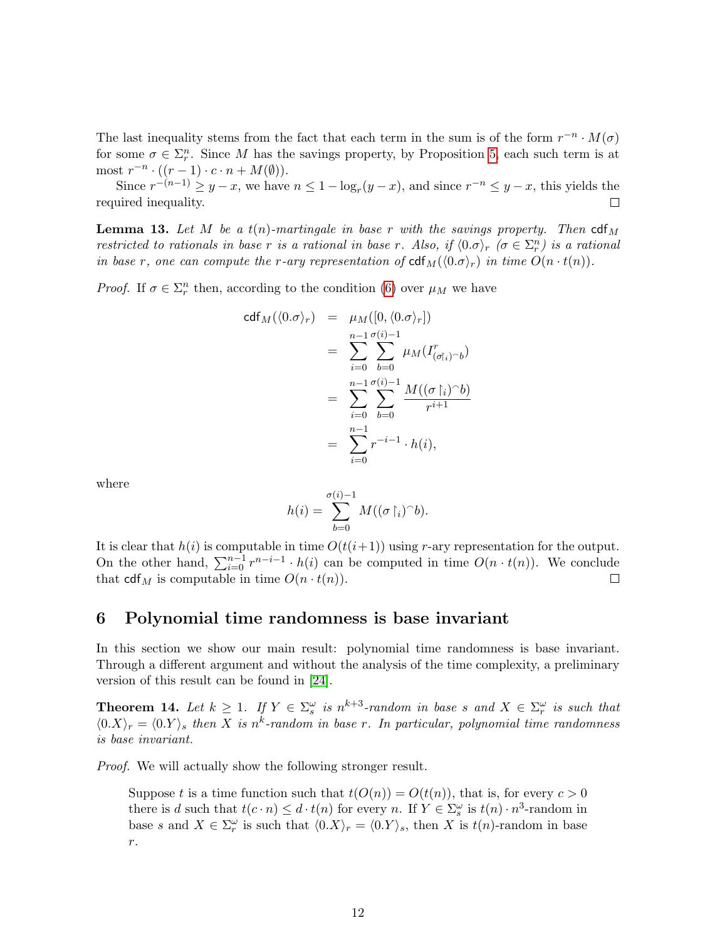The last inequality stems from the fact that each term in the sum is of the form  $r^{-n} \cdot M(\sigma)$ for some  $\sigma \in \Sigma_r^n$ . Since M has the savings property, by Proposition [5,](#page-5-0) each such term is at most  $r^{-n} \cdot ((r-1) \cdot c \cdot n + M(\emptyset)).$ 

Since  $r^{-(n-1)} \ge y - x$ , we have  $n \le 1 - \log_r(y - x)$ , and since  $r^{-n} \le y - x$ , this yields the required inequality.  $\Box$ 

<span id="page-11-2"></span>**Lemma 13.** Let M be a  $t(n)$ -martingale in base r with the savings property. Then  $\text{cdf}_{M}$ restricted to rationals in base r is a rational in base r. Also, if  $\langle 0.\sigma \rangle_r$   $(\sigma \in \Sigma_r^n)$  is a rational in base r, one can compute the r-ary representation of  $\text{cdf}_{M}(\langle 0.\sigma \rangle_{r})$  in time  $O(n \cdot t(n)).$ 

*Proof.* If  $\sigma \in \Sigma_r^n$  then, according to the condition [\(6\)](#page-9-6) over  $\mu_M$  we have

$$
cdf_M(\langle 0.\sigma \rangle_r) = \mu_M([0, \langle 0.\sigma \rangle_r])
$$
  
= 
$$
\sum_{i=0}^{n-1} \sum_{b=0}^{\sigma(i)-1} \mu_M(I^r_{(\sigma|_i) \cap b})
$$
  
= 
$$
\sum_{i=0}^{n-1} \sum_{b=0}^{\sigma(i)-1} \frac{M((\sigma|_i) \cap b)}{r^{i+1}}
$$
  
= 
$$
\sum_{i=0}^{n-1} r^{-i-1} \cdot h(i),
$$

where

$$
h(i) = \sum_{b=0}^{\sigma(i)-1} M((\sigma \upharpoonright_i)^\frown b).
$$

It is clear that  $h(i)$  is computable in time  $O(t(i+1))$  using r-ary representation for the output. On the other hand,  $\sum_{i=0}^{n-1} r^{n-i-1} \cdot h(i)$  can be computed in time  $O(n \cdot t(n))$ . We conclude that  $\text{cdf}_M$  is computable in time  $O(n \cdot t(n)).$  $\Box$ 

### <span id="page-11-1"></span>6 Polynomial time randomness is base invariant

In this section we show our main result: polynomial time randomness is base invariant. Through a different argument and without the analysis of the time complexity, a preliminary version of this result can be found in [\[24\]](#page-22-14).

<span id="page-11-0"></span>**Theorem 14.** Let  $k \geq 1$ . If  $Y \in \Sigma_s^{\omega}$  is  $n^{k+3}$ -random in base s and  $X \in \Sigma_r^{\omega}$  is such that  $\langle 0.X \rangle_r = \langle 0.Y \rangle_s$  then X is n<sup>k</sup>-random in base r. In particular, polynomial time randomness is base invariant.

*Proof.* We will actually show the following stronger result.

Suppose t is a time function such that  $t(O(n)) = O(t(n))$ , that is, for every  $c > 0$ there is d such that  $t(c \cdot n) \leq d \cdot t(n)$  for every n. If  $Y \in \Sigma_s^{\omega}$  is  $t(n) \cdot n^3$ -random in base s and  $X \in \Sigma_r^{\omega}$  is such that  $\langle 0.X \rangle_r = \langle 0.Y \rangle_s$ , then X is  $t(n)$ -random in base  $\,r.\,$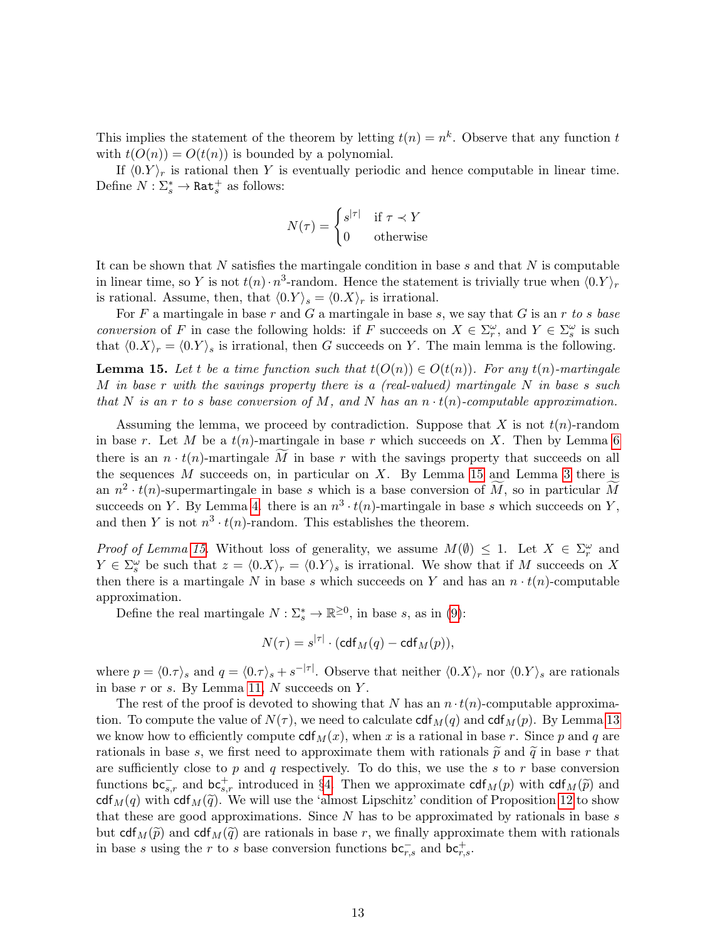This implies the statement of the theorem by letting  $t(n) = n^k$ . Observe that any function t with  $t(O(n)) = O(t(n))$  is bounded by a polynomial.

If  $\langle 0. Y \rangle_r$  is rational then Y is eventually periodic and hence computable in linear time. Define  $N: \Sigma_s^* \to \mathtt{Rat}_s^+$  as follows:

$$
N(\tau) = \begin{cases} s^{|\tau|} & \text{if } \tau \prec Y \\ 0 & \text{otherwise} \end{cases}
$$

It can be shown that N satisfies the martingale condition in base s and that  $N$  is computable in linear time, so Y is not  $t(n) \cdot n^3$ -random. Hence the statement is trivially true when  $\langle 0.Y \rangle_r$ is rational. Assume, then, that  $\langle 0.Y \rangle_s = \langle 0.X \rangle_r$  is irrational.

For F a martingale in base r and G a martingale in base s, we say that G is an r to s base conversion of F in case the following holds: if F succeeds on  $X \in \Sigma_r^{\omega}$ , and  $Y \in \Sigma_s^{\omega}$  is such that  $\langle 0.X\rangle_r = \langle 0.Y\rangle_s$  is irrational, then G succeeds on Y. The main lemma is the following.

<span id="page-12-0"></span>**Lemma 15.** Let t be a time function such that  $t(O(n)) \in O(t(n))$ . For any  $t(n)$ -martingale M in base r with the savings property there is a (real-valued) martingale  $N$  in base s such that N is an r to s base conversion of M, and N has an  $n \cdot t(n)$ -computable approximation.

Assuming the lemma, we proceed by contradiction. Suppose that X is not  $t(n)$ -random in base r. Let M be a  $t(n)$ -martingale in base r which succeeds on X. Then by Lemma [6](#page-6-1) there is an  $n \cdot t(n)$ -martingale M in base r with the savings property that succeeds on all the sequences  $M$  succeeds on, in particular on  $X$ . By Lemma [15](#page-12-0) and Lemma [3](#page-4-1) there is an  $n^2 \cdot t(n)$ -supermartingale in base s which is a base conversion of  $\widetilde{M}$ , so in particular  $\widetilde{M}$ succeeds on Y. By Lemma [4.](#page-4-2) there is an  $n^3 \cdot t(n)$ -martingale in base s which succeeds on Y, and then Y is not  $n^3 \cdot t(n)$ -random. This establishes the theorem.

*Proof of Lemma [15.](#page-12-0)* Without loss of generality, we assume  $M(\emptyset) \leq 1$ . Let  $X \in \Sigma_r^{\omega}$  and  $Y \in \Sigma_s^{\omega}$  be such that  $z = \langle 0.X \rangle_r = \langle 0.Y \rangle_s$  is irrational. We show that if M succeeds on X then there is a martingale N in base s which succeeds on Y and has an  $n \cdot t(n)$ -computable approximation.

Define the real martingale  $N: \Sigma_s^* \to \mathbb{R}^{\geq 0}$ , in base s, as in [\(9\)](#page-10-1):

$$
N(\tau) = s^{|\tau|} \cdot (\text{cdf}_M(q) - \text{cdf}_M(p)),
$$

where  $p = \langle 0.\tau \rangle_s$  and  $q = \langle 0.\tau \rangle_s + s^{-|\tau|}$ . Observe that neither  $\langle 0.X \rangle_r$  nor  $\langle 0.Y \rangle_s$  are rationals in base  $r$  or  $s$ . By Lemma [11,](#page-10-2)  $N$  succeeds on  $Y$ .

The rest of the proof is devoted to showing that N has an  $n \cdot t(n)$ -computable approximation. To compute the value of  $N(\tau)$ , we need to calculate  $\text{cdf}_{M}(q)$  and  $\text{cdf}_{M}(p)$ . By Lemma [13](#page-11-2) we know how to efficiently compute  $\text{cdf}_{M}(x)$ , when x is a rational in base r. Since p and q are rationals in base s, we first need to approximate them with rationals  $\tilde{p}$  and  $\tilde{q}$  in base r that are sufficiently close to p and q respectively. To do this, we use the s to r base conversion functions  $bc_{s,r}^-$  and  $bc_{s,r}^+$  introduced in §[4.](#page-7-0) Then we approximate  $cdf_M(p)$  with  $cdf_M(\tilde{p})$  and  $cdf_{s,d}(q)$  with  $cdf_{s,d}(q)$ . We will use the 'elmost Lineabitz' condition of Proposition 12 to show cdf<sub>M</sub>(q) with cdf<sub>M</sub>( $\tilde{q}$ ). We will use the 'almost Lipschitz' condition of Proposition [12](#page-10-3) to show that these are good approximations. Since  $N$  has to be approximated by rationals in base  $s$ but cdf<sub>M</sub> $(\tilde{p})$  and cdf<sub>M</sub> $(\tilde{q})$  are rationals in base r, we finally approximate them with rationals in base s using the r to s base conversion functions  $bc_{r,s}^-$  and  $bc_{r,s}^+$ .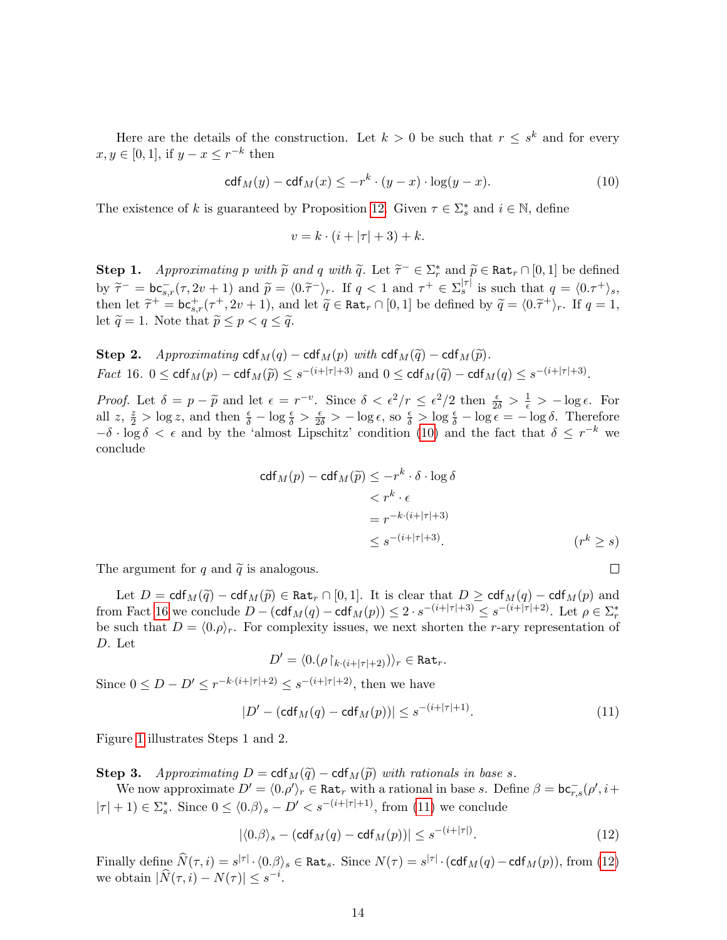Here are the details of the construction. Let  $k > 0$  be such that  $r \leq s^k$  and for every  $x, y \in [0, 1]$ , if  $y - x \leq r^{-k}$  then

<span id="page-13-0"></span>
$$
\operatorname{cdf}_M(y) - \operatorname{cdf}_M(x) \le -r^k \cdot (y-x) \cdot \log(y-x). \tag{10}
$$

The existence of k is guaranteed by Proposition [12.](#page-10-3) Given  $\tau \in \Sigma_s^*$  and  $i \in \mathbb{N}$ , define

$$
v = k \cdot (i + |\tau| + 3) + k.
$$

**Step 1.** Approximating p with  $\tilde{p}$  and q with  $\tilde{q}$ . Let  $\tilde{\tau}^- \in \Sigma_r^*$  and  $\tilde{p} \in \text{Rat}_r \cap [0,1]$  be defined by  $\tilde{\tau}^-$  =  $bc_{s,r}^-(\tau, 2v+1)$  and  $\tilde{p} = \langle 0.\tilde{\tau}^- \rangle_r$ . If  $q < 1$  and  $\tau^+ \in \Sigma_s^{|\tau|}$  is such that  $q = \langle 0.\tau^+ \rangle_s$ , then let  $\tilde{\tau}^+ = \mathbf{b} \mathbf{c}_{s,r}^+ (\tau^+, 2v + 1)$ , and let  $\tilde{q} \in \text{Rat}_r \cap [0, 1]$  be defined by  $\tilde{q} = \langle 0.\tilde{\tau}^+ \rangle_r$ . If  $q = 1$ , let  $\tilde{\tilde{s}} \leq 1$ . Note that  $\tilde{\tilde{s}} \leq \tilde{s} \leq \tilde{\tilde{s}} \leq \tilde{\tilde{s}}$ . let  $\widetilde{q} = 1$ . Note that  $\widetilde{p} \le p < q \le \widetilde{q}$ .

<span id="page-13-1"></span>Step 2. Approximating cdf<sub>M</sub>(q) – cdf<sub>M</sub>(p) with cdf<sub>M</sub>( $\tilde{q}$ ) – cdf<sub>M</sub>( $\tilde{p}$ ). *Fact* 16.  $0 \leq \text{cdf}_M(p) - \text{cdf}_M(\widetilde{p}) \leq s^{-(i+|\tau|+3)}$  and  $0 \leq \text{cdf}_M(\widetilde{q}) - \text{cdf}_M(q) \leq s^{-(i+|\tau|+3)}$ .

Proof. Let  $\delta = p - \tilde{p}$  and let  $\epsilon = r^{-v}$ . Since  $\delta < \epsilon^2/r \leq \epsilon^2/2$  then  $\frac{\epsilon}{2\delta} > \frac{1}{\epsilon} > -\log \epsilon$ . For all  $z, \frac{z}{2} > \log z$ , and then  $\frac{\epsilon}{\delta} - \log \frac{\epsilon}{\delta} > \frac{\epsilon}{2\delta} > -\log \epsilon$ , so  $\frac{\epsilon}{\delta} > \log \frac{\epsilon}{\delta} - \log \epsilon = -\log \delta$ . Therefore  $-\delta \cdot \log \delta < \epsilon$  and by the 'almost Lipschitz' condition [\(10\)](#page-13-0) and the fact that  $\delta \leq r^{-k}$  we conclude

$$
cdf_M(p) - cdf_M(\widetilde{p}) \leq -r^k \cdot \delta \cdot \log \delta
$$
  

$$
< r^k \cdot \epsilon
$$
  

$$
= r^{-k \cdot (i+|\tau|+3)}
$$
  

$$
\leq s^{-(i+|\tau|+3)}.
$$
 (r<sup>k</sup>  $\geq s$ )

 $\Box$ 

The argument for q and  $\tilde{q}$  is analogous.

Let  $D = \text{cdf}_M(\tilde{q}) - \text{cdf}_M(\tilde{p}) \in \text{Rat}_r \cap [0,1].$  It is clear that  $D \geq \text{cdf}_M(q) - \text{cdf}_M(p)$  and from Fact [16](#page-13-1) we conclude  $D - (\text{cdf}_M(q) - \text{cdf}_M(p)) \leq 2 \cdot s^{-(i+|\tau|+3)} \leq s^{-(i+|\tau|+2)}$ . Let  $\rho \in \Sigma_r^*$ be such that  $D = \langle 0.\rho \rangle_r$ . For complexity issues, we next shorten the r-ary representation of D. Let

$$
D' = \langle 0.(\rho \upharpoonright_{k \cdot (i+|\tau|+2)}) \rangle_r \in \text{Rat}_r.
$$

Since  $0 \le D - D' \le r^{-k \cdot (i+|\tau|+2)} \le s^{-(i+|\tau|+2)}$ , then we have

<span id="page-13-2"></span>
$$
|D' - (\text{cdf}_M(q) - \text{cdf}_M(p))| \le s^{-(i+|\tau|+1)}.
$$
\n(11)

Figure [1](#page-14-1) illustrates Steps 1 and 2.

Step 3. Approximating  $D = \text{cdf}_M(\widetilde{q}) - \text{cdf}_M(\widetilde{p})$  with rationals in base s.

We now approximate  $D' = \langle 0, \rho' \rangle_r \in \text{Rat}_r$  with a rational in base s. Define  $\beta = \text{bc}_{r,s}^-(\rho', i+$  $|\tau| + 1 \in \Sigma_s^*$ . Since  $0 \le \langle 0.\beta \rangle_s - D' < s^{-(i+|\tau|+1)}$ , from [\(11\)](#page-13-2) we conclude

<span id="page-13-3"></span>
$$
|\langle 0.\beta \rangle_s - (\text{cdf}_M(q) - \text{cdf}_M(p))| \le s^{-(i+|\tau|)}.
$$
\n(12)

Finally define  $\widehat{N}(\tau, i) = s^{|\tau|} \cdot \langle 0.\beta \rangle_s \in \text{Rat}_s$ . Since  $N(\tau) = s^{|\tau|} \cdot (\text{cdf}_M(q) - \text{cdf}_M(p))$ , from [\(12\)](#page-13-3) we obtain  $|\widehat{N}(\tau, i) - N(\tau)| \leq s^{-i}$ .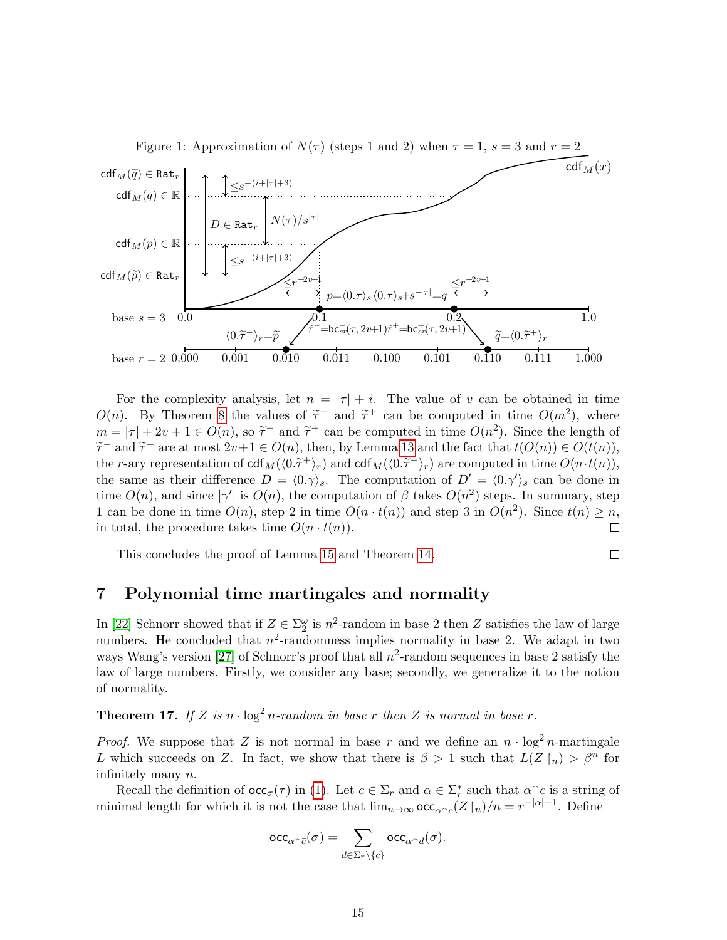<span id="page-14-1"></span>

For the complexity analysis, let  $n = |\tau| + i$ . The value of v can be obtained in time  $O(n)$ . By Theorem [8](#page-8-2) the values of  $\tilde{\tau}^-$  and  $\tilde{\tau}^+$  can be computed in time  $O(m^2)$ , where  $m = |\tau| + 2\nu + 1 \in O(n)$ , so  $\tilde{\tau}^-$  and  $\tilde{\tau}^+$  can be computed in time  $O(n^2)$ . Since the length of  $\tilde{\tau}^-$  and  $\tilde{\tau}^+$  are at most  $2\nu + 1 \in O(n)$ , then by Lamma 12 and the fact that  $t(O(n)) \in O(t(n))$ .  $\tilde{\tau}^-$  and  $\tilde{\tau}^+$  are at most  $2v+1 \in O(n)$ , then, by Lemma [13](#page-11-2) and the fact that  $t(O(n)) \in O(t(n))$ ,<br>the g ary representation of  $cd$ ,  $c/d\tilde{\tau}$  and  $cd$ ,  $c/d\tilde{\tau}$ ) are computed in time  $O(n, t(n))$ . the r-ary representation of  $\text{cdf}_{M}(\langle 0.\tilde{\tau}^{+}\rangle_{r})$  and  $\text{cdf}_{M}(\langle 0.\tilde{\tau}^{-}\rangle_{r})$  are computed in time  $O(n \cdot t(n))$ ,<br>the same as their difference  $D = \langle 0, \alpha \rangle$ . The computation of  $D' = \langle 0, \alpha' \rangle$ , san be done in the same as their difference  $D = \langle 0.\gamma \rangle_s$ . The computation of  $D' = \langle 0.\gamma' \rangle_s$  can be done in time  $O(n)$ , and since  $|\gamma'|$  is  $O(n)$ , the computation of  $\beta$  takes  $O(n^2)$  steps. In summary, step 1 can be done in time  $O(n)$ , step 2 in time  $O(n \cdot t(n))$  and step 3 in  $O(n^2)$ . Since  $t(n) \geq n$ , in total, the procedure takes time  $O(n \cdot t(n))$ .  $\Box$ 

This concludes the proof of Lemma [15](#page-12-0) and Theorem [14.](#page-11-0)

$$
\qquad \qquad \Box
$$

# <span id="page-14-0"></span>7 Polynomial time martingales and normality

In [\[22\]](#page-22-9) Schnorr showed that if  $Z \in \Sigma_2^{\omega}$  is  $n^2$ -random in base 2 then Z satisfies the law of large numbers. He concluded that  $n^2$ -randomness implies normality in base 2. We adapt in two ways Wang's version [\[27\]](#page-23-2) of Schnorr's proof that all  $n^2$ -random sequences in base 2 satisfy the law of large numbers. Firstly, we consider any base; secondly, we generalize it to the notion of normality.

<span id="page-14-2"></span>**Theorem 17.** If Z is  $n \cdot \log^2 n$ -random in base r then Z is normal in base r.

*Proof.* We suppose that Z is not normal in base r and we define an  $n \cdot \log^2 n$ -martingale L which succeeds on Z. In fact, we show that there is  $\beta > 1$  such that  $L(Z \restriction_n) > \beta^n$  for infinitely many n.

Recall the definition of  $\operatorname{occ}_{\sigma}(\tau)$  in [\(1\)](#page-0-0). Let  $c \in \Sigma_r$  and  $\alpha \in \Sigma_r^*$  such that  $\alpha^c c$  is a string of minimal length for which it is not the case that  $\lim_{n\to\infty} \operatorname{occ}_{\alpha} (Z \upharpoonright_n)/n = r^{-|\alpha|-1}$ . Define

$$
\mathrm{occ}_{\alpha\widehat{\phantom{\alpha}} \sigma}(\sigma) = \sum_{d\in\Sigma_r\backslash\{c\}} \mathrm{occ}_{\alpha\widehat{\phantom{\alpha}} d}(\sigma).
$$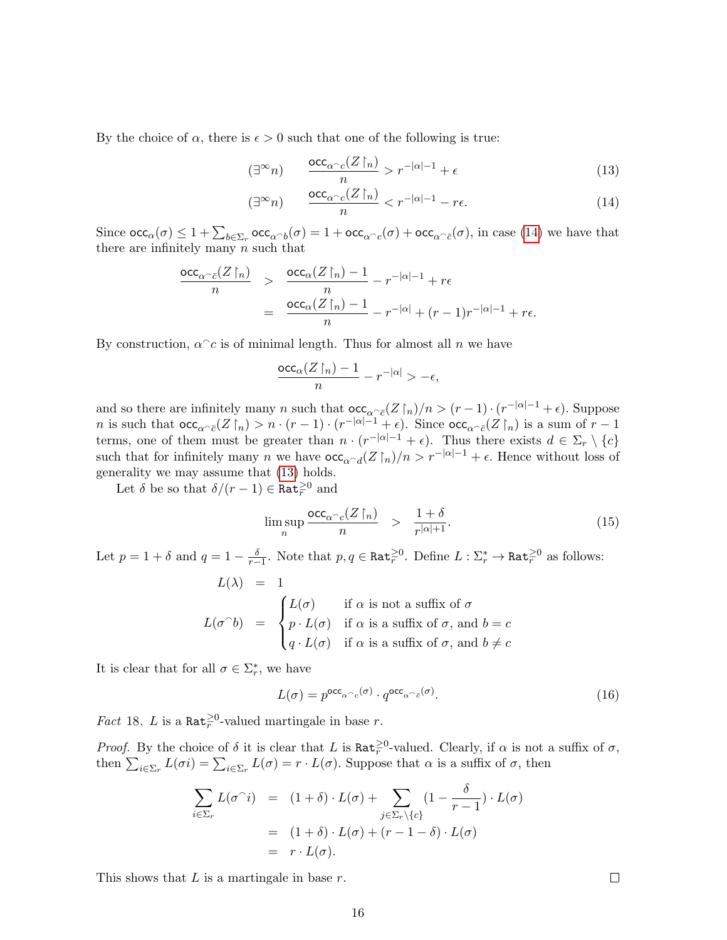By the choice of  $\alpha$ , there is  $\epsilon > 0$  such that one of the following is true:

<span id="page-15-0"></span>
$$
(\exists^{\infty} n) \qquad \frac{\mathrm{occ}_{\alpha^{\frown} c}(Z\restriction_n)}{n} > r^{-|\alpha|-1} + \epsilon \tag{13}
$$

$$
(\exists^{\infty} n) \qquad \frac{\mathrm{occ}_{\alpha^{\frown} c}(Z\restriction_n)}{n} < r^{-|\alpha|-1} - r\epsilon. \tag{14}
$$

Since  $\operatorname{occ}_{\alpha}(\sigma) \leq 1 + \sum_{b \in \Sigma_r} \operatorname{occ}_{\alpha \cap b}(\sigma) = 1 + \operatorname{occ}_{\alpha \cap c}(\sigma) + \operatorname{occ}_{\alpha \cap \bar{c}}(\sigma)$ , in case [\(14\)](#page-15-0) we have that there are infinitely many  $n$  such that

$$
\frac{\operatorname{occ}_{\alpha\cap\bar{c}}(Z\restriction_n)}{n} > \frac{\operatorname{occ}_{\alpha}(Z\restriction_n)-1}{n}-r^{-|\alpha|-1}+r\epsilon
$$

$$
= \frac{\operatorname{occ}_{\alpha}(Z\restriction_n)-1}{n}-r^{-|\alpha|}+(r-1)r^{-|\alpha|-1}+r\epsilon.
$$

By construction,  $\alpha^c c$  is of minimal length. Thus for almost all n we have

$$
\frac{\mathrm{occ}_\alpha(Z\!\upharpoonright_n)-1}{n}-r^{-|\alpha|}>-\epsilon,
$$

and so there are infinitely many n such that  $\operatorname{occ}_{\alpha \cap \bar{c}}(Z \upharpoonright_n)/n > (r-1) \cdot (r^{-|\alpha|-1} + \epsilon)$ . Suppose *n* is such that  $\operatorname{occ}_{\alpha \subset \bar{c}}(Z \upharpoonright_n) > n \cdot (r-1) \cdot (r^{-|\alpha|-1} + \epsilon)$ . Since  $\operatorname{occ}_{\alpha \subset \bar{c}}(Z \upharpoonright_n)$  is a sum of  $r-1$ terms, one of them must be greater than  $n \cdot (r^{-|\alpha|-1} + \epsilon)$ . Thus there exists  $d \in \Sigma_r \setminus \{c\}$ such that for infinitely many n we have  $\operatorname{occ}_{\alpha \cap d}(Z \upharpoonright_n)/n > r^{-|\alpha|-1} + \epsilon$ . Hence without loss of generality we may assume that [\(13\)](#page-15-0) holds.

Let  $\delta$  be so that  $\delta/(r-1) \in \mathtt{Rat}_r^{\geq 0}$  and

<span id="page-15-2"></span>
$$
\limsup_{n} \frac{\mathrm{occ}_{\alpha \frown c}(Z\upharpoonright_{n})}{n} \quad > \quad \frac{1+\delta}{r^{|\alpha|+1}}.\tag{15}
$$

Let  $p = 1 + \delta$  and  $q = 1 - \frac{\delta}{r-1}$ . Note that  $p, q \in \text{Rat}_{\overline{r}}^{\geq 0}$ . Define  $L : \Sigma_r^* \to \text{Rat}_{\overline{r}}^{\geq 0}$  as follows:  $L(Y) = 1$ 

$$
L(\lambda) = 1
$$
  
\n
$$
L(\sigma^{\wedge}b) = \begin{cases} L(\sigma) & \text{if } \alpha \text{ is not a suffix of } \sigma \\ p \cdot L(\sigma) & \text{if } \alpha \text{ is a suffix of } \sigma, \text{ and } b = c \\ q \cdot L(\sigma) & \text{if } \alpha \text{ is a suffix of } \sigma, \text{ and } b \neq c \end{cases}
$$

It is clear that for all  $\sigma \in \Sigma_r^*$ , we have

<span id="page-15-1"></span>
$$
L(\sigma) = p^{\text{occ}_{\alpha} \frown c}(\sigma) \cdot q^{\text{occ}_{\alpha} \frown \bar{c}}(\sigma). \tag{16}
$$

*Fact* 18. *L* is a Rat<sup> $\geq 0$ </sup>-valued martingale in base *r*.

*Proof.* By the choice of  $\delta$  it is clear that L is  $\text{Rat}_{r}^{\geq 0}$ -valued. Clearly, if  $\alpha$  is not a suffix of  $\sigma$ , then  $\sum_{i\in\Sigma_r} L(\sigma i) = \sum_{i\in\Sigma_r} L(\sigma) = r \cdot L(\sigma)$ . Suppose that  $\alpha$  is a suffix of  $\sigma$ , then

$$
\sum_{i \in \Sigma_r} L(\sigma^{\cap} i) = (1 + \delta) \cdot L(\sigma) + \sum_{j \in \Sigma_r \setminus \{c\}} (1 - \frac{\delta}{r - 1}) \cdot L(\sigma)
$$

$$
= (1 + \delta) \cdot L(\sigma) + (r - 1 - \delta) \cdot L(\sigma)
$$

$$
= r \cdot L(\sigma).
$$

This shows that  $L$  is a martingale in base  $r$ .

 $\Box$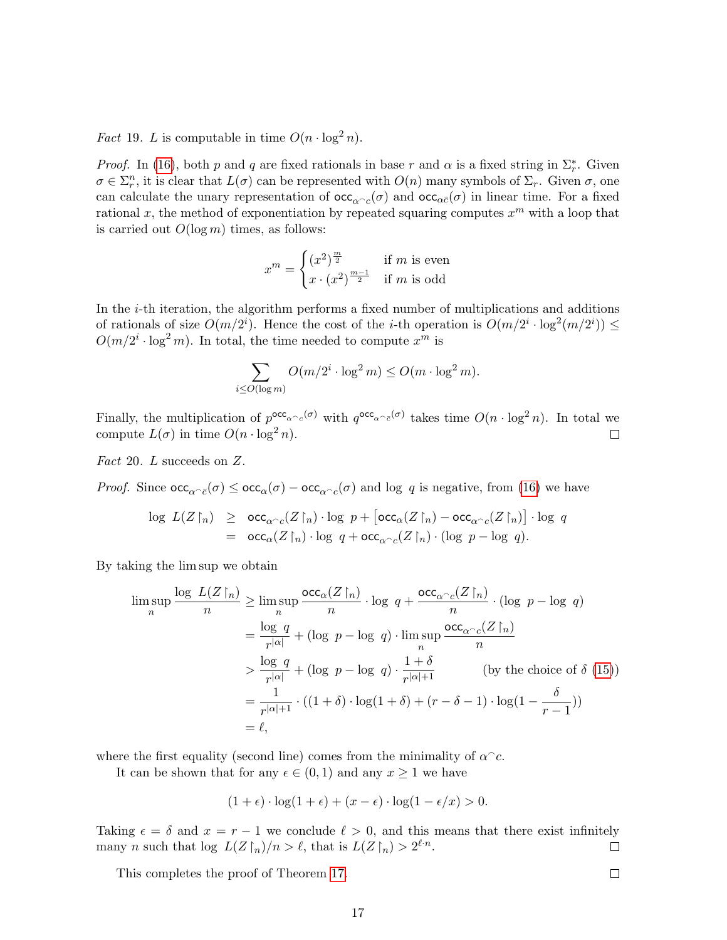*Fact* 19. *L* is computable in time  $O(n \cdot \log^2 n)$ .

*Proof.* In [\(16\)](#page-15-1), both p and q are fixed rationals in base r and  $\alpha$  is a fixed string in  $\Sigma_r^*$ . Given  $\sigma \in \Sigma_r^n$ , it is clear that  $L(\sigma)$  can be represented with  $O(n)$  many symbols of  $\Sigma_r$ . Given  $\sigma$ , one can calculate the unary representation of  $\operatorname{occ}_{\alpha c}(\sigma)$  and  $\operatorname{occ}_{\alpha \bar{c}}(\sigma)$  in linear time. For a fixed rational x, the method of exponentiation by repeated squaring computes  $x^m$  with a loop that is carried out  $O(\log m)$  times, as follows:

$$
x^{m} = \begin{cases} (x^{2})^{\frac{m}{2}} & \text{if } m \text{ is even} \\ x \cdot (x^{2})^{\frac{m-1}{2}} & \text{if } m \text{ is odd} \end{cases}
$$

In the i-th iteration, the algorithm performs a fixed number of multiplications and additions of rationals of size  $O(m/2^i)$ . Hence the cost of the *i*-th operation is  $O(m/2^i \cdot \log^2(m/2^i)) \le$  $O(m/2^i \cdot \log^2 m)$ . In total, the time needed to compute  $x^m$  is

$$
\sum_{i \le O(\log m)} O(m/2^i \cdot \log^2 m) \le O(m \cdot \log^2 m).
$$

Finally, the multiplication of  $p^{\text{occ}} \alpha c^{(\sigma)}$  with  $q^{\text{occ}} \alpha c^{(\sigma)}$  takes time  $O(n \cdot \log^2 n)$ . In total we compute  $L(\sigma)$  in time  $O(n \cdot \log^2 n)$ . П

Fact 20. L succeeds on Z.

*Proof.* Since  $\operatorname{occ}_{\alpha \subset \bar{c}}(\sigma) \le \operatorname{occ}_{\alpha}(\sigma) - \operatorname{occ}_{\alpha \subset c}(\sigma)$  and log q is negative, from [\(16\)](#page-15-1) we have

$$
\begin{array}{lcl}\n\log \ L(Z \restriction_n) & \geq & \mathsf{occ}_{\alpha \cap c}(Z \restriction_n) \cdot \log \ p + \left[ \mathsf{occ}_{\alpha}(Z \restriction_n) - \mathsf{occ}_{\alpha \cap c}(Z \restriction_n) \right] \cdot \log \ q \\
& = & \mathsf{occ}_{\alpha}(Z \restriction_n) \cdot \log \ q + \mathsf{occ}_{\alpha \cap c}(Z \restriction_n) \cdot (\log \ p - \log \ q).\n\end{array}
$$

By taking the lim sup we obtain

$$
\limsup_{n} \frac{\log L(Z \restriction_n)}{n} \ge \limsup_{n} \frac{\operatorname{occ}_{\alpha}(Z \restriction_n)}{n} \cdot \log q + \frac{\operatorname{occ}_{\alpha \cap c}(Z \restriction_n)}{n} \cdot (\log p - \log q)
$$
\n
$$
= \frac{\log q}{r^{|\alpha|}} + (\log p - \log q) \cdot \limsup_{n} \frac{\operatorname{occ}_{\alpha \cap c}(Z \restriction_n)}{n}
$$
\n
$$
> \frac{\log q}{r^{|\alpha|}} + (\log p - \log q) \cdot \frac{1+\delta}{r^{|\alpha|+1}} \qquad \text{(by the choice of } \delta (15))
$$
\n
$$
= \frac{1}{r^{|\alpha|+1}} \cdot ((1+\delta) \cdot \log(1+\delta) + (r-\delta-1) \cdot \log(1-\frac{\delta}{r-1}))
$$
\n
$$
= \ell,
$$

where the first equality (second line) comes from the minimality of  $\alpha^c c$ .

It can be shown that for any  $\epsilon \in (0,1)$  and any  $x \geq 1$  we have

$$
(1+\epsilon)\cdot \log(1+\epsilon) + (x-\epsilon)\cdot \log(1-\epsilon/x) > 0.
$$

Taking  $\epsilon = \delta$  and  $x = r - 1$  we conclude  $\ell > 0$ , and this means that there exist infinitely many *n* such that log  $L(Z \restriction_n)/n > \ell$ , that is  $L(Z \restriction_n) > 2^{\ell \cdot n}$ .  $\Box$ 

This completes the proof of Theorem [17.](#page-14-2)

 $\Box$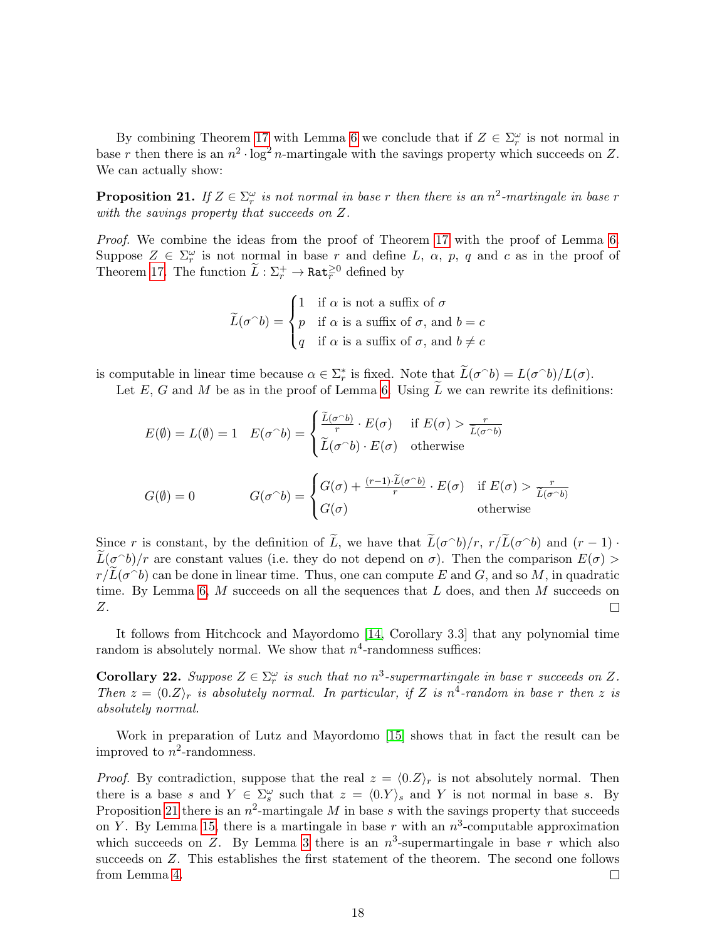By combining Theorem [17](#page-14-2) with Lemma [6](#page-6-1) we conclude that if  $Z \in \Sigma_r^{\omega}$  is not normal in base r then there is an  $n^2 \cdot \log^2 n$ -martingale with the savings property which succeeds on Z. We can actually show:

<span id="page-17-0"></span>**Proposition 21.** If  $Z \in \Sigma_r^{\omega}$  is not normal in base r then there is an  $n^2$ -martingale in base r with the savings property that succeeds on Z.

Proof. We combine the ideas from the proof of Theorem [17](#page-14-2) with the proof of Lemma [6.](#page-6-1) Suppose  $Z \in \Sigma_r^{\omega}$  is not normal in base r and define L,  $\alpha$ , p, q and c as in the proof of Theorem [17.](#page-14-2) The function  $\widetilde{L}: \Sigma_r^+ \to \mathtt{Rat}_r^{\geq 0}$  defined by

$$
\widetilde{L}(\sigma^{\widehat{\ }}b) = \begin{cases}\n1 & \text{if } \alpha \text{ is not a suffix of } \sigma \\
p & \text{if } \alpha \text{ is a suffix of } \sigma \text{, and } b = c \\
q & \text{if } \alpha \text{ is a suffix of } \sigma \text{, and } b \neq c\n\end{cases}
$$

is computable in linear time because  $\alpha \in \sum_{r}^{*}$  is fixed. Note that  $\widetilde{L}(\sigma \cap b) = L(\sigma \cap b)/L(\sigma)$ .

Let  $E, G$  and  $M$  be as in the proof of Lemma [6.](#page-6-1) Using  $L$  we can rewrite its definitions:

$$
E(\emptyset) = L(\emptyset) = 1 \quad E(\sigma \cap b) = \begin{cases} \frac{\widetilde{L}(\sigma \cap b)}{r} \cdot E(\sigma) & \text{if } E(\sigma) > \frac{r}{\widetilde{L}(\sigma \cap b)} \\ \widetilde{L}(\sigma \cap b) \cdot E(\sigma) & \text{otherwise} \end{cases}
$$

$$
G(\emptyset) = 0 \qquad G(\sigma \cap b) = \begin{cases} G(\sigma) + \frac{(r-1) \cdot \widetilde{L}(\sigma \cap b)}{r} \cdot E(\sigma) & \text{if } E(\sigma) > \frac{r}{\widetilde{L}(\sigma \cap b)} \\ G(\sigma) & \text{otherwise} \end{cases}
$$

Since r is constant, by the definition of  $\tilde{L}$ , we have that  $\tilde{L}(\sigma^{\frown}b)/r$ ,  $r/\tilde{L}(\sigma^{\frown}b)$  and  $(r-1) \cdot \tilde{L}(\sigma^{\frown}b)/r$ .  $\widetilde{L}(\sigma \circ b)/r$  are constant values (i.e. they do not depend on  $\sigma$ ). Then the comparison  $E(\sigma) >$  $r/\widetilde{L}(\sigma \cap b)$  can be done in linear time. Thus, one can compute E and G, and so M, in quadratic time. By Lemma [6,](#page-6-1) M succeeds on all the sequences that  $L$  does, and then M succeeds on Z.  $\Box$ 

It follows from Hitchcock and Mayordomo [\[14,](#page-22-15) Corollary 3.3] that any polynomial time random is absolutely normal. We show that  $n^4$ -randomness suffices:

<span id="page-17-1"></span>**Corollary 22.** Suppose  $Z \in \Sigma_r^{\omega}$  is such that no  $n^3$ -supermartingale in base r succeeds on Z. Then  $z = \langle 0.Z \rangle_r$  is absolutely normal. In particular, if Z is n<sup>4</sup>-random in base r then z is absolutely normal.

Work in preparation of Lutz and Mayordomo [\[15\]](#page-22-3) shows that in fact the result can be improved to  $n^2$ -randomness.

*Proof.* By contradiction, suppose that the real  $z = \langle 0,Z \rangle_r$  is not absolutely normal. Then there is a base s and  $Y \in \Sigma_s^{\omega}$  such that  $z = \langle 0, Y \rangle_s$  and Y is not normal in base s. By Proposition [21](#page-17-0) there is an  $n^2$ -martingale M in base s with the savings property that succeeds on Y. By Lemma [15,](#page-12-0) there is a martingale in base r with an  $n^3$ -computable approximation which succeeds on Z. By Lemma [3](#page-4-1) there is an  $n^3$ -supermartingale in base r which also succeeds on Z. This establishes the first statement of the theorem. The second one follows from Lemma [4.](#page-4-2)  $\Box$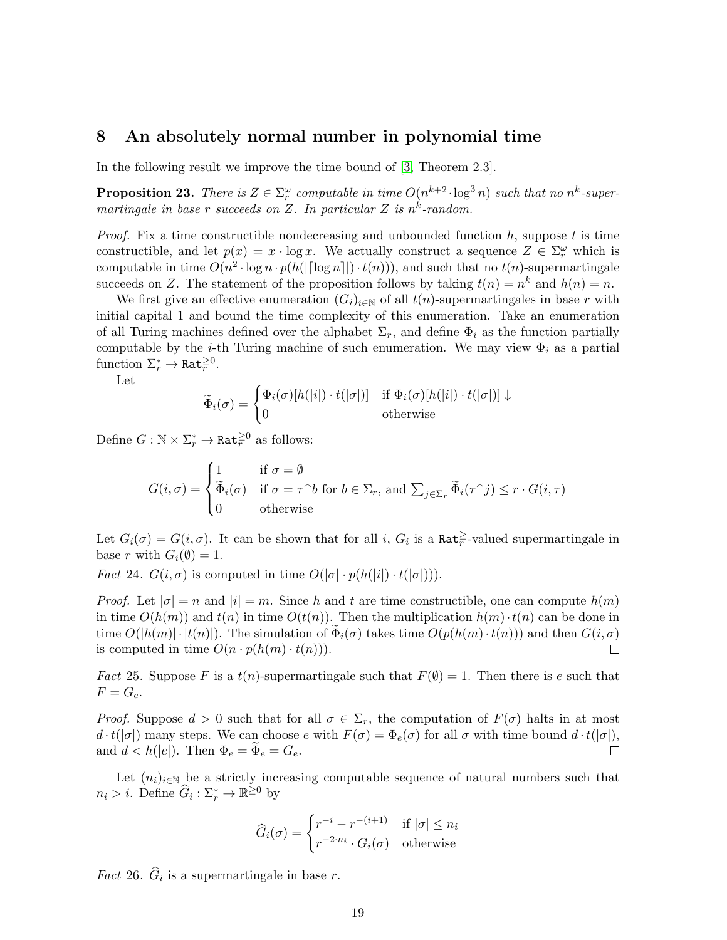# 8 An absolutely normal number in polynomial time

In the following result we improve the time bound of [\[3,](#page-21-4) Theorem 2.3].

<span id="page-18-2"></span>**Proposition 23.** There is  $Z \in \Sigma_r^{\omega}$  computable in time  $O(n^{k+2} \cdot \log^3 n)$  such that no  $n^k$ -supermartingale in base r succeeds on Z. In particular Z is  $n^k$ -random.

*Proof.* Fix a time constructible nondecreasing and unbounded function  $h$ , suppose t is time constructible, and let  $p(x) = x \cdot \log x$ . We actually construct a sequence  $Z \in \Sigma_r^{\omega}$  which is computable in time  $O(n^2 \cdot \log n \cdot p(h(|\lceil \log n \rceil|) \cdot t(n)))$ , and such that no  $t(n)$ -supermartingale succeeds on Z. The statement of the proposition follows by taking  $t(n) = n^k$  and  $h(n) = n$ .

We first give an effective enumeration  $(G_i)_{i\in\mathbb{N}}$  of all  $t(n)$ -supermartingales in base r with initial capital 1 and bound the time complexity of this enumeration. Take an enumeration of all Turing machines defined over the alphabet  $\Sigma_r$ , and define  $\Phi_i$  as the function partially computable by the *i*-th Turing machine of such enumeration. We may view  $\Phi_i$  as a partial function  $\Sigma_r^* \to \mathtt{Rat}_r^{\geq 0}$ .

Let

$$
\widetilde{\Phi}_i(\sigma) = \begin{cases} \Phi_i(\sigma)[h(|i|) \cdot t(|\sigma|)] & \text{if } \Phi_i(\sigma)[h(|i|) \cdot t(|\sigma|)] \downarrow \\ 0 & \text{otherwise} \end{cases}
$$

Define  $G : \mathbb{N} \times \Sigma_r^* \to \mathtt{Rat}_r^{\geq 0}$  as follows:

$$
G(i, \sigma) = \begin{cases} 1 & \text{if } \sigma = \emptyset \\ \widetilde{\Phi}_i(\sigma) & \text{if } \sigma = \tau^\frown b \text{ for } b \in \Sigma_r \text{, and } \sum_{j \in \Sigma_r} \widetilde{\Phi}_i(\tau^\frown j) \le r \cdot G(i, \tau) \\ 0 & \text{otherwise} \end{cases}
$$

Let  $G_i(\sigma) = G(i, \sigma)$ . It can be shown that for all i,  $G_i$  is a  $\text{Rat}_{r}^{\geq}$ -valued supermartingale in base r with  $G_i(\emptyset) = 1$ .

<span id="page-18-0"></span>*Fact* 24.  $G(i, \sigma)$  is computed in time  $O(|\sigma| \cdot p(h(|i|) \cdot t(|\sigma|))).$ 

*Proof.* Let  $|\sigma| = n$  and  $|i| = m$ . Since h and t are time constructible, one can compute  $h(m)$ in time  $O(h(m))$  and  $t(n)$  in time  $O(t(n))$ . Then the multiplication  $h(m) \cdot t(n)$  can be done in time  $O(|h(m)| \cdot |t(n)|)$ . The simulation of  $\Phi_i(\sigma)$  takes time  $O(p(h(m) \cdot t(n)))$  and then  $G(i, \sigma)$  is computed in time  $O(n \cdot p(h(m) \cdot t(n)))$ . is computed in time  $O(n \cdot p(h(m) \cdot t(n)))$ .

<span id="page-18-1"></span>*Fact* 25. Suppose F is a  $t(n)$ -supermartingale such that  $F(\emptyset) = 1$ . Then there is e such that  $F = G_e$ .

*Proof.* Suppose  $d > 0$  such that for all  $\sigma \in \Sigma_r$ , the computation of  $F(\sigma)$  halts in at most  $d \cdot t(|\sigma|)$  many steps. We can choose e with  $F(\sigma) = \Phi_e(\sigma)$  for all  $\sigma$  with time bound  $d \cdot t(|\sigma|)$ , and  $d < h(|e|)$ . Then  $\Phi_e = \Phi_e = G_e$ .  $\Box$ 

Let  $(n_i)_{i\in\mathbb{N}}$  be a strictly increasing computable sequence of natural numbers such that  $n_i > i$ . Define  $\widehat{G}_i : \Sigma_r^* \to \mathbb{R}^{\geq 0}$  by

$$
\widehat{G}_i(\sigma) = \begin{cases} r^{-i} - r^{-(i+1)} & \text{if } |\sigma| \le n_i \\ r^{-2 \cdot n_i} \cdot G_i(\sigma) & \text{otherwise} \end{cases}
$$

*Fact* 26.  $G_i$  is a supermartingale in base r.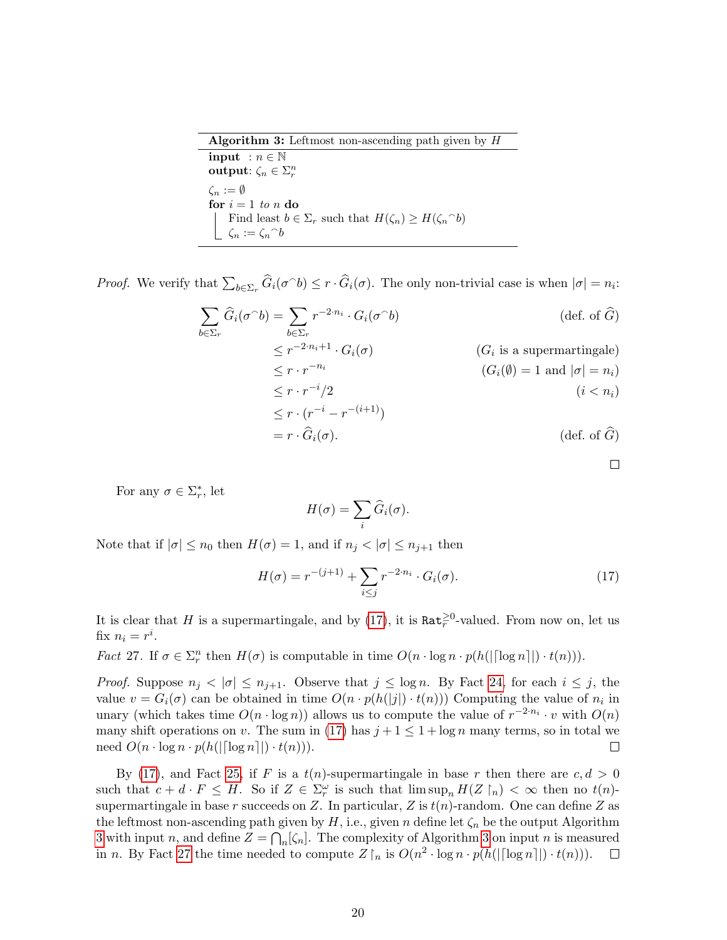<span id="page-19-1"></span>

| <b>Algorithm 3:</b> Leftmost non-ascending path given by $H$                    |
|---------------------------------------------------------------------------------|
| input : $n \in \mathbb{N}$                                                      |
| output: $\zeta_n \in \Sigma_r^n$                                                |
| $\zeta_n := \emptyset$                                                          |
| for $i = 1$ to n do                                                             |
| Find least $b \in \Sigma_r$ such that $H(\zeta_n) \geq H(\zeta_n{}^{\frown} b)$ |
| $\lfloor \zeta_n := \zeta_n^\frown b$                                           |

*Proof.* We verify that  $\sum_{b \in \Sigma_r} \widehat{G}_i(\sigma^b) \le r \cdot \widehat{G}_i(\sigma)$ . The only non-trivial case is when  $|\sigma| = n_i$ :

$$
\sum_{b \in \Sigma_r} \hat{G}_i(\sigma^b) = \sum_{b \in \Sigma_r} r^{-2 \cdot n_i} \cdot G_i(\sigma^b)
$$
\n
$$
\leq r^{-2 \cdot n_i + 1} \cdot G_i(\sigma)
$$
\n
$$
\leq r \cdot r^{-n_i}
$$
\n
$$
\leq r \cdot r^{-n_i}
$$
\n
$$
\leq r \cdot r^{-i}/2
$$
\n
$$
\leq r \cdot (r^{-i} - r^{-(i+1)})
$$
\n
$$
= r \cdot \hat{G}_i(\sigma).
$$
\n(def. of  $\hat{G}$ )\n(def. of  $\hat{G}$ )

 $\Box$ 

For any  $\sigma \in \Sigma_r^*$ , let

$$
H(\sigma) = \sum_i \widehat{G}_i(\sigma).
$$

Note that if  $|\sigma| \leq n_0$  then  $H(\sigma) = 1$ , and if  $n_j < |\sigma| \leq n_{j+1}$  then

<span id="page-19-0"></span>
$$
H(\sigma) = r^{-(j+1)} + \sum_{i \le j} r^{-2 \cdot n_i} \cdot G_i(\sigma).
$$
 (17)

It is clear that H is a supermartingale, and by [\(17\)](#page-19-0), it is  $\text{Rat}_r^{\geq 0}$ -valued. From now on, let us fix  $n_i = r^i$ .

<span id="page-19-2"></span>*Fact* 27. If  $\sigma \in \Sigma_r^n$  then  $H(\sigma)$  is computable in time  $O(n \cdot \log n \cdot p(h(|\lceil \log n \rceil|) \cdot t(n))).$ 

*Proof.* Suppose  $n_j < |\sigma| \leq n_{j+1}$ . Observe that  $j \leq \log n$ . By Fact [24,](#page-18-0) for each  $i \leq j$ , the value  $v = G_i(\sigma)$  can be obtained in time  $O(n \cdot p(h(|j|) \cdot t(n)))$  Computing the value of  $n_i$  in unary (which takes time  $O(n \cdot \log n)$ ) allows us to compute the value of  $r^{-2 \cdot n_i} \cdot v$  with  $O(n)$ many shift operations on v. The sum in [\(17\)](#page-19-0) has  $j+1 \leq 1 + \log n$  many terms, so in total we need  $O(n \cdot \log n \cdot p(h(|\lceil \log n \rceil|) \cdot t(n))).$  $\Box$ 

By [\(17\)](#page-19-0), and Fact [25,](#page-18-1) if F is a  $t(n)$ -supermartingale in base r then there are  $c, d > 0$ such that  $c + d \cdot F \leq H$ . So if  $Z \in \Sigma_r^{\omega}$  is such that  $\limsup_n H(Z \restriction_n) < \infty$  then no  $t(n)$ . supermartingale in base r succeeds on Z. In particular, Z is  $t(n)$ -random. One can define Z as the leftmost non-ascending path given by  $H$ , i.e., given n define let  $\zeta_n$  be the output Algorithm [3](#page-19-1) with input n, and define  $Z = \bigcap_n [\zeta_n]$ . The complexity of Algorithm [3](#page-19-1) on input n is measured in n. By Fact [27](#page-19-2) the time needed to compute  $Z \upharpoonright_n$  is  $O(n^2 \cdot \log n \cdot p(h(||\log n||) \cdot t(n)))$ .  $\Box$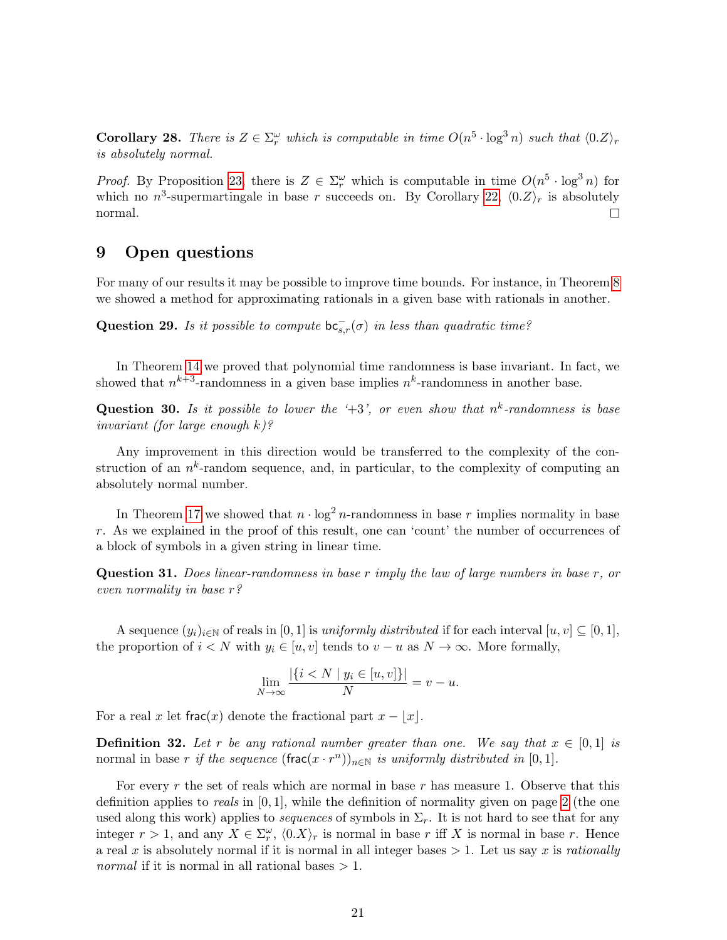**Corollary 28.** There is  $Z \in \Sigma_r^{\omega}$  which is computable in time  $O(n^5 \cdot \log^3 n)$  such that  $\langle 0.Z \rangle_r$ is absolutely normal.

*Proof.* By Proposition [23,](#page-18-2) there is  $Z \in \Sigma_r^{\omega}$  which is computable in time  $O(n^5 \cdot \log^3 n)$  for which no  $n^3$ -supermartingale in base r succeeds on. By Corollary [22,](#page-17-1)  $\langle 0,Z \rangle_r$  is absolutely normal.  $\Box$ 

# 9 Open questions

For many of our results it may be possible to improve time bounds. For instance, in Theorem [8](#page-8-2) we showed a method for approximating rationals in a given base with rationals in another.

Question 29. Is it possible to compute  $bc_{s,r}^-(\sigma)$  in less than quadratic time?

In Theorem [14](#page-11-0) we proved that polynomial time randomness is base invariant. In fact, we showed that  $n^{k+3}$ -randomness in a given base implies  $n^k$ -randomness in another base.

**Question 30.** Is it possible to lower the '+3', or even show that  $n^k$ -randomness is base invariant (for large enough  $k$ )?

Any improvement in this direction would be transferred to the complexity of the construction of an  $n^k$ -random sequence, and, in particular, to the complexity of computing an absolutely normal number.

In Theorem [17](#page-14-2) we showed that  $n \cdot \log^2 n$ -randomness in base r implies normality in base r. As we explained in the proof of this result, one can 'count' the number of occurrences of a block of symbols in a given string in linear time.

Question 31. Does linear-randomness in base r imply the law of large numbers in base r, or even normality in base r?

A sequence  $(y_i)_{i\in\mathbb{N}}$  of reals in [0, 1] is uniformly distributed if for each interval  $[u, v] \subseteq [0, 1]$ , the proportion of  $i < N$  with  $y_i \in [u, v]$  tends to  $v - u$  as  $N \to \infty$ . More formally,

$$
\lim_{N \to \infty} \frac{|\{i < N \mid y_i \in [u, v]\}|}{N} = v - u.
$$

For a real x let frac(x) denote the fractional part  $x - |x|$ .

**Definition 32.** Let r be any rational number greater than one. We say that  $x \in [0,1]$  is normal in base r if the sequence  $(\text{frac}(x \cdot r^n))_{n \in \mathbb{N}}$  is uniformly distributed in [0, 1].

For every r the set of reals which are normal in base r has measure 1. Observe that this definition applies to *reals* in  $[0, 1]$ , while the definition of normality given on page [2](#page-0-0) (the one used along this work) applies to *sequences* of symbols in  $\Sigma_r$ . It is not hard to see that for any integer  $r > 1$ , and any  $X \in \Sigma_r^{\omega}$ ,  $\langle 0.X \rangle_r$  is normal in base r iff X is normal in base r. Hence a real x is absolutely normal if it is normal in all integer bases  $> 1$ . Let us say x is rationally *normal* if it is normal in all rational bases  $> 1$ .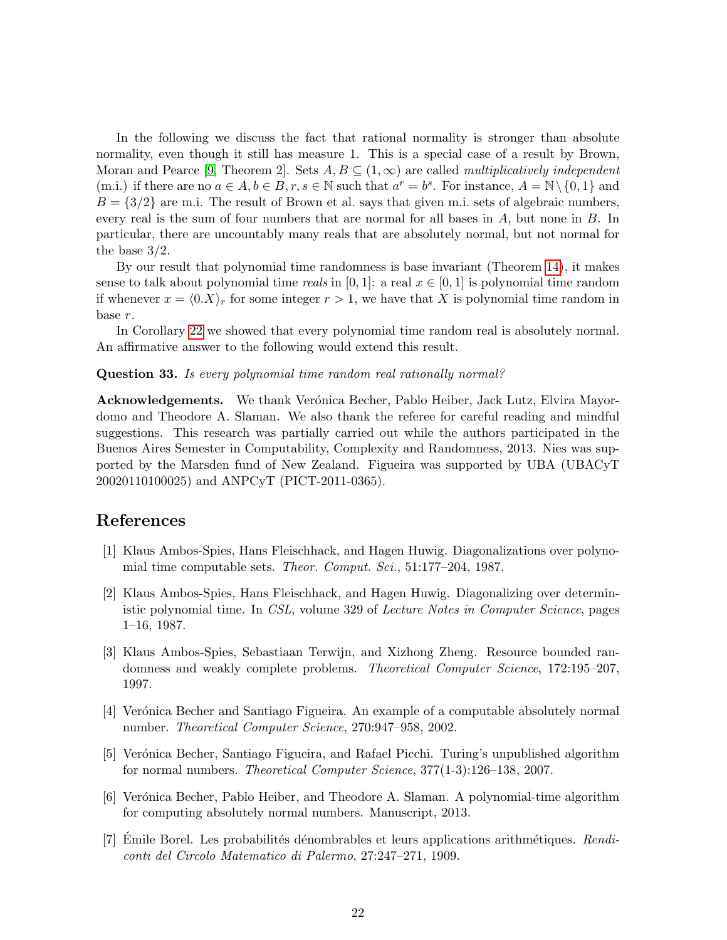In the following we discuss the fact that rational normality is stronger than absolute normality, even though it still has measure 1. This is a special case of a result by Brown, Moran and Pearce [\[9,](#page-22-16) Theorem 2]. Sets  $A, B \subseteq (1, \infty)$  are called *multiplicatively independent* (m.i.) if there are no  $a \in A, b \in B, r, s \in \mathbb{N}$  such that  $a^r = b^s$ . For instance,  $A = \mathbb{N} \setminus \{0, 1\}$  and  $B = \{3/2\}$  are m.i. The result of Brown et al. says that given m.i. sets of algebraic numbers, every real is the sum of four numbers that are normal for all bases in A, but none in B. In particular, there are uncountably many reals that are absolutely normal, but not normal for the base 3/2.

By our result that polynomial time randomness is base invariant (Theorem [14\)](#page-11-0), it makes sense to talk about polynomial time reals in [0, 1]: a real  $x \in [0, 1]$  is polynomial time random if whenever  $x = \langle 0.X \rangle_r$  for some integer  $r > 1$ , we have that X is polynomial time random in base r.

In Corollary [22](#page-17-1) we showed that every polynomial time random real is absolutely normal. An affirmative answer to the following would extend this result.

#### Question 33. Is every polynomial time random real rationally normal?

**Acknowledgements.** We thank Verónica Becher, Pablo Heiber, Jack Lutz, Elvira Mayordomo and Theodore A. Slaman. We also thank the referee for careful reading and mindful suggestions. This research was partially carried out while the authors participated in the Buenos Aires Semester in Computability, Complexity and Randomness, 2013. Nies was supported by the Marsden fund of New Zealand. Figueira was supported by UBA (UBACyT 20020110100025) and ANPCyT (PICT-2011-0365).

### References

- <span id="page-21-5"></span>[1] Klaus Ambos-Spies, Hans Fleischhack, and Hagen Huwig. Diagonalizations over polynomial time computable sets. Theor. Comput. Sci., 51:177–204, 1987.
- <span id="page-21-6"></span>[2] Klaus Ambos-Spies, Hans Fleischhack, and Hagen Huwig. Diagonalizing over deterministic polynomial time. In CSL, volume 329 of Lecture Notes in Computer Science, pages 1–16, 1987.
- <span id="page-21-4"></span>[3] Klaus Ambos-Spies, Sebastiaan Terwijn, and Xizhong Zheng. Resource bounded randomness and weakly complete problems. Theoretical Computer Science, 172:195–207, 1997.
- <span id="page-21-1"></span>[4] Verónica Becher and Santiago Figueira. An example of a computable absolutely normal number. Theoretical Computer Science, 270:947–958, 2002.
- <span id="page-21-2"></span>[5] Verónica Becher, Santiago Figueira, and Rafael Picchi. Turing's unpublished algorithm for normal numbers. Theoretical Computer Science, 377(1-3):126–138, 2007.
- <span id="page-21-3"></span>[6] Verónica Becher, Pablo Heiber, and Theodore A. Slaman. A polynomial-time algorithm for computing absolutely normal numbers. Manuscript, 2013.
- <span id="page-21-0"></span>[7] Emile Borel. Les probabilités dénombrables et leurs applications arithmétiques.  $\text{Real}$ conti del Circolo Matematico di Palermo, 27:247–271, 1909.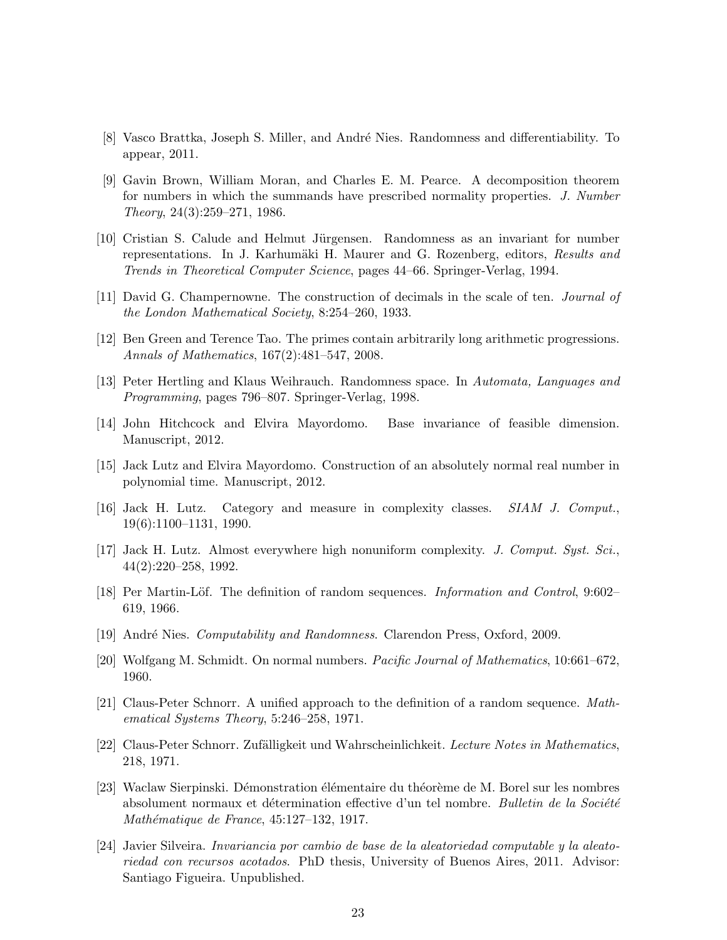- <span id="page-22-8"></span>[8] Vasco Brattka, Joseph S. Miller, and Andr´e Nies. Randomness and differentiability. To appear, 2011.
- <span id="page-22-16"></span>[9] Gavin Brown, William Moran, and Charles E. M. Pearce. A decomposition theorem for numbers in which the summands have prescribed normality properties. J. Number Theory, 24(3):259–271, 1986.
- <span id="page-22-6"></span>[10] Cristian S. Calude and Helmut Jürgensen. Randomness as an invariant for number representations. In J. Karhumäki H. Maurer and G. Rozenberg, editors, Results and Trends in Theoretical Computer Science, pages 44–66. Springer-Verlag, 1994.
- <span id="page-22-0"></span>[11] David G. Champernowne. The construction of decimals in the scale of ten. Journal of the London Mathematical Society, 8:254–260, 1933.
- <span id="page-22-12"></span>[12] Ben Green and Terence Tao. The primes contain arbitrarily long arithmetic progressions. Annals of Mathematics, 167(2):481–547, 2008.
- <span id="page-22-7"></span>[13] Peter Hertling and Klaus Weihrauch. Randomness space. In Automata, Languages and Programming, pages 796–807. Springer-Verlag, 1998.
- <span id="page-22-15"></span>[14] John Hitchcock and Elvira Mayordomo. Base invariance of feasible dimension. Manuscript, 2012.
- <span id="page-22-3"></span>[15] Jack Lutz and Elvira Mayordomo. Construction of an absolutely normal real number in polynomial time. Manuscript, 2012.
- <span id="page-22-10"></span>[16] Jack H. Lutz. Category and measure in complexity classes. SIAM J. Comput., 19(6):1100–1131, 1990.
- <span id="page-22-11"></span>[17] Jack H. Lutz. Almost everywhere high nonuniform complexity. J. Comput. Syst. Sci., 44(2):220–258, 1992.
- <span id="page-22-4"></span>[18] Per Martin-Löf. The definition of random sequences. *Information and Control*, 9:602– 619, 1966.
- <span id="page-22-13"></span>[19] André Nies. *Computability and Randomness*. Clarendon Press, Oxford, 2009.
- <span id="page-22-1"></span>[20] Wolfgang M. Schmidt. On normal numbers. Pacific Journal of Mathematics, 10:661–672, 1960.
- <span id="page-22-5"></span>[21] Claus-Peter Schnorr. A unified approach to the definition of a random sequence. Mathematical Systems Theory, 5:246–258, 1971.
- <span id="page-22-9"></span>[22] Claus-Peter Schnorr. Zufälligkeit und Wahrscheinlichkeit. Lecture Notes in Mathematics, 218, 1971.
- <span id="page-22-2"></span>[23] Waclaw Sierpinski. Démonstration élémentaire du théorème de M. Borel sur les nombres absolument normaux et détermination effective d'un tel nombre. Bulletin de la Société  $Mathématique de France, 45:127-132, 1917.$
- <span id="page-22-14"></span>[24] Javier Silveira. Invariancia por cambio de base de la aleatoriedad computable y la aleatoriedad con recursos acotados. PhD thesis, University of Buenos Aires, 2011. Advisor: Santiago Figueira. Unpublished.